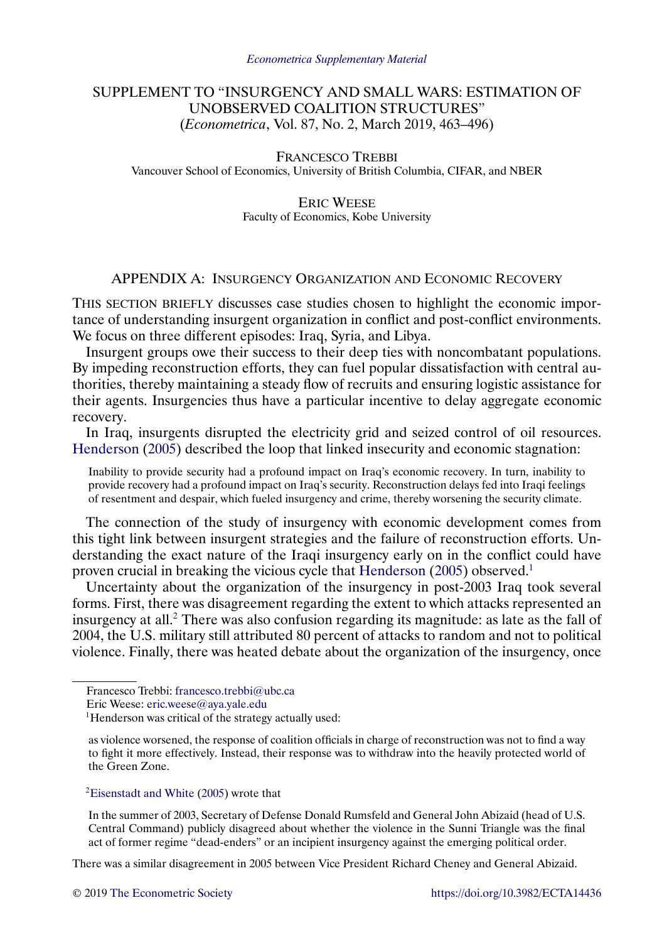# <span id="page-0-0"></span>SUPPLEMENT TO "INSURGENCY AND SMALL WARS: ESTIMATION OF UNOBSERVED COALITION STRUCTURES" (*Econometrica*, Vol. 87, No. 2, March 2019, 463–496)

FRANCESCO TREBBI Vancouver School of Economics, University of British Columbia, CIFAR, and NBER

> ERIC WEESE Faculty of Economics, Kobe University

# APPENDIX A: INSURGENCY ORGANIZATION AND ECONOMIC RECOVERY

THIS SECTION BRIEFLY discusses case studies chosen to highlight the economic importance of understanding insurgent organization in conflict and post-conflict environments. We focus on three different episodes: Iraq, Syria, and Libya.

Insurgent groups owe their success to their deep ties with noncombatant populations. By impeding reconstruction efforts, they can fuel popular dissatisfaction with central authorities, thereby maintaining a steady flow of recruits and ensuring logistic assistance for their agents. Insurgencies thus have a particular incentive to delay aggregate economic recovery.

In Iraq, insurgents disrupted the electricity grid and seized control of oil resources. [Henderson](#page-32-0) [\(2005\)](#page-32-0) described the loop that linked insecurity and economic stagnation:

Inability to provide security had a profound impact on Iraq's economic recovery. In turn, inability to provide recovery had a profound impact on Iraq's security. Reconstruction delays fed into Iraqi feelings of resentment and despair, which fueled insurgency and crime, thereby worsening the security climate.

The connection of the study of insurgency with economic development comes from this tight link between insurgent strategies and the failure of reconstruction efforts. Understanding the exact nature of the Iraqi insurgency early on in the conflict could have proven crucial in breaking the vicious cycle that [Henderson](#page-32-0) [\(2005\)](#page-32-0) observed.<sup>1</sup>

Uncertainty about the organization of the insurgency in post-2003 Iraq took several forms. First, there was disagreement regarding the extent to which attacks represented an insurgency at all.<sup>2</sup> There was also confusion regarding its magnitude: as late as the fall of 2004, the U.S. military still attributed 80 percent of attacks to random and not to political violence. Finally, there was heated debate about the organization of the insurgency, once

In the summer of 2003, Secretary of Defense Donald Rumsfeld and General John Abizaid (head of U.S. Central Command) publicly disagreed about whether the violence in the Sunni Triangle was the final act of former regime "dead-enders" or an incipient insurgency against the emerging political order.

There was a similar disagreement in 2005 between Vice President Richard Cheney and General Abizaid.

Francesco Trebbi: [francesco.trebbi@ubc.ca](mailto:francesco.trebbi@ubc.ca)

Eric Weese: [eric.weese@aya.yale.edu](mailto:eric.weese@aya.yale.edu)

<sup>&</sup>lt;sup>1</sup>Henderson was critical of the strategy actually used:

as violence worsened, the response of coalition officials in charge of reconstruction was not to find a way to fight it more effectively. Instead, their response was to withdraw into the heavily protected world of the Green Zone.

[<sup>2</sup>Eisenstadt and White](#page-32-0) [\(2005\)](#page-32-0) wrote that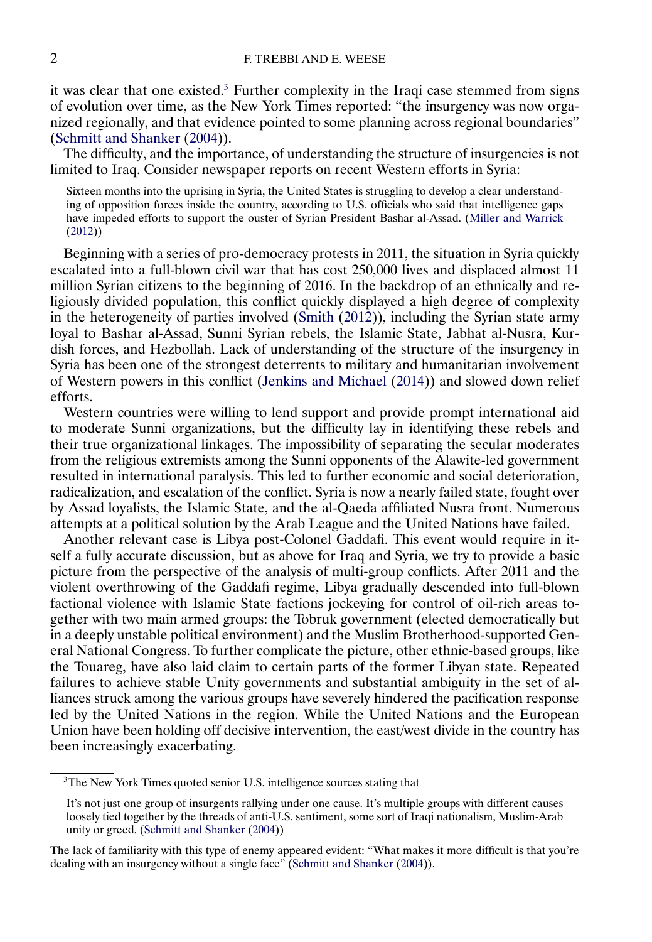<span id="page-1-0"></span>it was clear that one existed.<sup>3</sup> Further complexity in the Iraqi case stemmed from signs of evolution over time, as the New York Times reported: "the insurgency was now organized regionally, and that evidence pointed to some planning across regional boundaries" [\(Schmitt and Shanker](#page-32-0) [\(2004\)](#page-32-0)).

The difficulty, and the importance, of understanding the structure of insurgencies is not limited to Iraq. Consider newspaper reports on recent Western efforts in Syria:

Sixteen months into the uprising in Syria, the United States is struggling to develop a clear understanding of opposition forces inside the country, according to U.S. officials who said that intelligence gaps have impeded efforts to support the ouster of Syrian President Bashar al-Assad. [\(Miller and Warrick](#page-32-0) [\(2012\)](#page-32-0))

Beginning with a series of pro-democracy protests in 2011, the situation in Syria quickly escalated into a full-blown civil war that has cost 250,000 lives and displaced almost 11 million Syrian citizens to the beginning of 2016. In the backdrop of an ethnically and religiously divided population, this conflict quickly displayed a high degree of complexity in the heterogeneity of parties involved [\(Smith](#page-33-0) [\(2012\)](#page-33-0)), including the Syrian state army loyal to Bashar al-Assad, Sunni Syrian rebels, the Islamic State, Jabhat al-Nusra, Kurdish forces, and Hezbollah. Lack of understanding of the structure of the insurgency in Syria has been one of the strongest deterrents to military and humanitarian involvement of Western powers in this conflict [\(Jenkins and Michael](#page-32-0) [\(2014\)](#page-32-0)) and slowed down relief efforts.

Western countries were willing to lend support and provide prompt international aid to moderate Sunni organizations, but the difficulty lay in identifying these rebels and their true organizational linkages. The impossibility of separating the secular moderates from the religious extremists among the Sunni opponents of the Alawite-led government resulted in international paralysis. This led to further economic and social deterioration, radicalization, and escalation of the conflict. Syria is now a nearly failed state, fought over by Assad loyalists, the Islamic State, and the al-Qaeda affiliated Nusra front. Numerous attempts at a political solution by the Arab League and the United Nations have failed.

Another relevant case is Libya post-Colonel Gaddafi. This event would require in itself a fully accurate discussion, but as above for Iraq and Syria, we try to provide a basic picture from the perspective of the analysis of multi-group conflicts. After 2011 and the violent overthrowing of the Gaddafi regime, Libya gradually descended into full-blown factional violence with Islamic State factions jockeying for control of oil-rich areas together with two main armed groups: the Tobruk government (elected democratically but in a deeply unstable political environment) and the Muslim Brotherhood-supported General National Congress. To further complicate the picture, other ethnic-based groups, like the Touareg, have also laid claim to certain parts of the former Libyan state. Repeated failures to achieve stable Unity governments and substantial ambiguity in the set of alliances struck among the various groups have severely hindered the pacification response led by the United Nations in the region. While the United Nations and the European Union have been holding off decisive intervention, the east/west divide in the country has been increasingly exacerbating.

<sup>&</sup>lt;sup>3</sup>The New York Times quoted senior U.S. intelligence sources stating that

It's not just one group of insurgents rallying under one cause. It's multiple groups with different causes loosely tied together by the threads of anti-U.S. sentiment, some sort of Iraqi nationalism, Muslim-Arab unity or greed. [\(Schmitt and Shanker](#page-32-0) [\(2004\)](#page-32-0))

The lack of familiarity with this type of enemy appeared evident: "What makes it more difficult is that you're dealing with an insurgency without a single face" [\(Schmitt and Shanker](#page-32-0) [\(2004\)](#page-32-0)).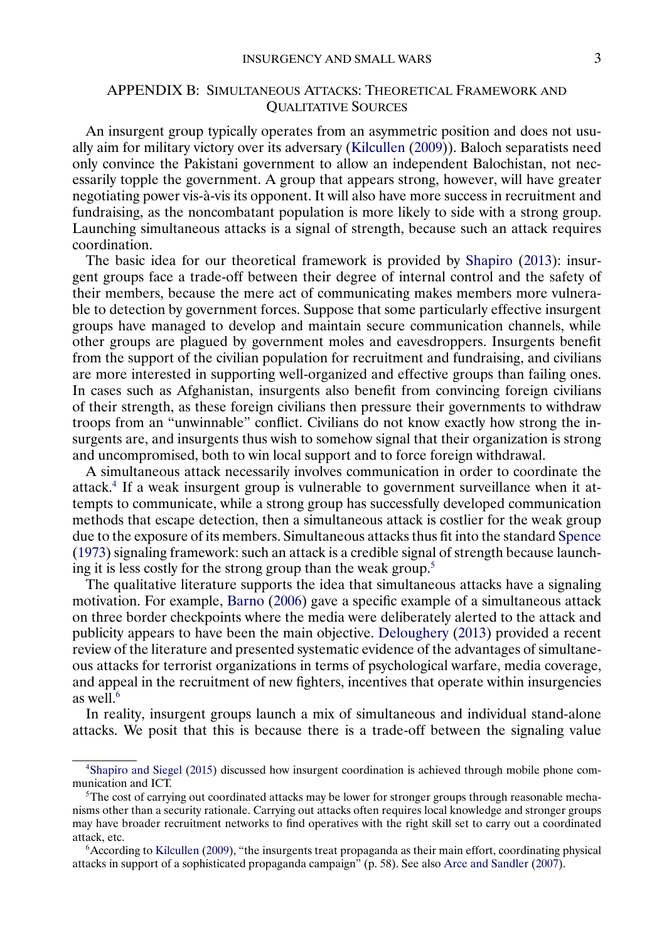## <span id="page-2-0"></span>APPENDIX B: SIMULTANEOUS ATTACKS: THEORETICAL FRAMEWORK AND QUALITATIVE SOURCES

An insurgent group typically operates from an asymmetric position and does not usually aim for military victory over its adversary [\(Kilcullen](#page-32-0) [\(2009\)](#page-32-0)). Baloch separatists need only convince the Pakistani government to allow an independent Balochistan, not necessarily topple the government. A group that appears strong, however, will have greater negotiating power vis-à-vis its opponent. It will also have more success in recruitment and fundraising, as the noncombatant population is more likely to side with a strong group. Launching simultaneous attacks is a signal of strength, because such an attack requires coordination.

The basic idea for our theoretical framework is provided by [Shapiro](#page-33-0) [\(2013\)](#page-33-0): insurgent groups face a trade-off between their degree of internal control and the safety of their members, because the mere act of communicating makes members more vulnerable to detection by government forces. Suppose that some particularly effective insurgent groups have managed to develop and maintain secure communication channels, while other groups are plagued by government moles and eavesdroppers. Insurgents benefit from the support of the civilian population for recruitment and fundraising, and civilians are more interested in supporting well-organized and effective groups than failing ones. In cases such as Afghanistan, insurgents also benefit from convincing foreign civilians of their strength, as these foreign civilians then pressure their governments to withdraw troops from an "unwinnable" conflict. Civilians do not know exactly how strong the insurgents are, and insurgents thus wish to somehow signal that their organization is strong and uncompromised, both to win local support and to force foreign withdrawal.

A simultaneous attack necessarily involves communication in order to coordinate the attack.4 If a weak insurgent group is vulnerable to government surveillance when it attempts to communicate, while a strong group has successfully developed communication methods that escape detection, then a simultaneous attack is costlier for the weak group due to the exposure of its members. Simultaneous attacks thus fit into the standard [Spence](#page-33-0) [\(1973\)](#page-33-0) signaling framework: such an attack is a credible signal of strength because launching it is less costly for the strong group than the weak group.5

The qualitative literature supports the idea that simultaneous attacks have a signaling motivation. For example, [Barno](#page-32-0) [\(2006\)](#page-32-0) gave a specific example of a simultaneous attack on three border checkpoints where the media were deliberately alerted to the attack and publicity appears to have been the main objective. [Deloughery](#page-32-0) [\(2013\)](#page-32-0) provided a recent review of the literature and presented systematic evidence of the advantages of simultaneous attacks for terrorist organizations in terms of psychological warfare, media coverage, and appeal in the recruitment of new fighters, incentives that operate within insurgencies as well $6$ 

In reality, insurgent groups launch a mix of simultaneous and individual stand-alone attacks. We posit that this is because there is a trade-off between the signaling value

[<sup>4</sup>Shapiro and Siegel](#page-33-0) [\(2015\)](#page-33-0) discussed how insurgent coordination is achieved through mobile phone communication and ICT.

<sup>5</sup>The cost of carrying out coordinated attacks may be lower for stronger groups through reasonable mechanisms other than a security rationale. Carrying out attacks often requires local knowledge and stronger groups may have broader recruitment networks to find operatives with the right skill set to carry out a coordinated attack, etc.

<sup>6</sup>According to [Kilcullen](#page-32-0) [\(2009\)](#page-32-0), "the insurgents treat propaganda as their main effort, coordinating physical attacks in support of a sophisticated propaganda campaign" (p. 58). See also [Arce and Sandler](#page-32-0) [\(2007\)](#page-32-0).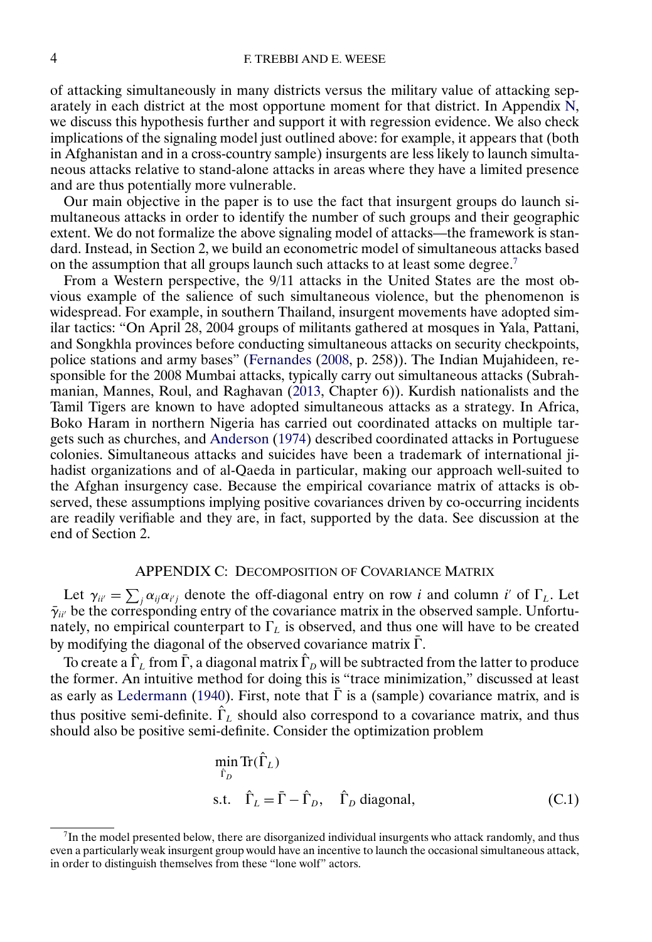<span id="page-3-0"></span>of attacking simultaneously in many districts versus the military value of attacking separately in each district at the most opportune moment for that district. In Appendix [N,](#page-24-0) we discuss this hypothesis further and support it with regression evidence. We also check implications of the signaling model just outlined above: for example, it appears that (both in Afghanistan and in a cross-country sample) insurgents are less likely to launch simultaneous attacks relative to stand-alone attacks in areas where they have a limited presence and are thus potentially more vulnerable.

Our main objective in the paper is to use the fact that insurgent groups do launch simultaneous attacks in order to identify the number of such groups and their geographic extent. We do not formalize the above signaling model of attacks—the framework is standard. Instead, in Section 2, we build an econometric model of simultaneous attacks based on the assumption that all groups launch such attacks to at least some degree.<sup>7</sup>

From a Western perspective, the 9/11 attacks in the United States are the most obvious example of the salience of such simultaneous violence, but the phenomenon is widespread. For example, in southern Thailand, insurgent movements have adopted similar tactics: "On April 28, 2004 groups of militants gathered at mosques in Yala, Pattani, and Songkhla provinces before conducting simultaneous attacks on security checkpoints, police stations and army bases" [\(Fernandes](#page-32-0) [\(2008,](#page-32-0) p. 258)). The Indian Mujahideen, responsible for the 2008 Mumbai attacks, typically carry out simultaneous attacks (Subrahmanian, Mannes, Roul, and Raghavan [\(2013,](#page-33-0) Chapter 6)). Kurdish nationalists and the Tamil Tigers are known to have adopted simultaneous attacks as a strategy. In Africa, Boko Haram in northern Nigeria has carried out coordinated attacks on multiple targets such as churches, and [Anderson](#page-32-0) [\(1974\)](#page-32-0) described coordinated attacks in Portuguese colonies. Simultaneous attacks and suicides have been a trademark of international jihadist organizations and of al-Qaeda in particular, making our approach well-suited to the Afghan insurgency case. Because the empirical covariance matrix of attacks is observed, these assumptions implying positive covariances driven by co-occurring incidents are readily verifiable and they are, in fact, supported by the data. See discussion at the end of Section 2.

#### APPENDIX C: DECOMPOSITION OF COVARIANCE MATRIX

Let  $\gamma_{ii'} = \sum_j \alpha_{ij} \alpha_{i'j}$  denote the off-diagonal entry on row i and column i' of  $\Gamma_L$ . Let  $\bar{\gamma}_{ii'}$  be the corresponding entry of the covariance matrix in the observed sample. Unfortunately, no empirical counterpart to  $\Gamma_L$  is observed, and thus one will have to be created by modifying the diagonal of the observed covariance matrix  $\Gamma$ .

To create a  $\hat{\Gamma}_L$  from  $\bar{\Gamma}$ , a diagonal matrix  $\hat{\Gamma}_D$  will be subtracted from the latter to produce the former. An intuitive method for doing this is "trace minimization," discussed at least as early as [Ledermann](#page-32-0) [\(1940\)](#page-32-0). First, note that  $\overline{\Gamma}$  is a (sample) covariance matrix, and is thus positive semi-definite.  $\hat{\Gamma}_L$  should also correspond to a covariance matrix, and thus should also be positive semi-definite. Consider the optimization problem

$$
\min_{\hat{\Gamma}_D} \text{Tr}(\hat{\Gamma}_L)
$$
  
s.t.  $\hat{\Gamma}_L = \bar{\Gamma} - \hat{\Gamma}_D$ ,  $\hat{\Gamma}_D$  diagonal, (C.1)

<sup>7</sup>In the model presented below, there are disorganized individual insurgents who attack randomly, and thus even a particularly weak insurgent group would have an incentive to launch the occasional simultaneous attack, in order to distinguish themselves from these "lone wolf" actors.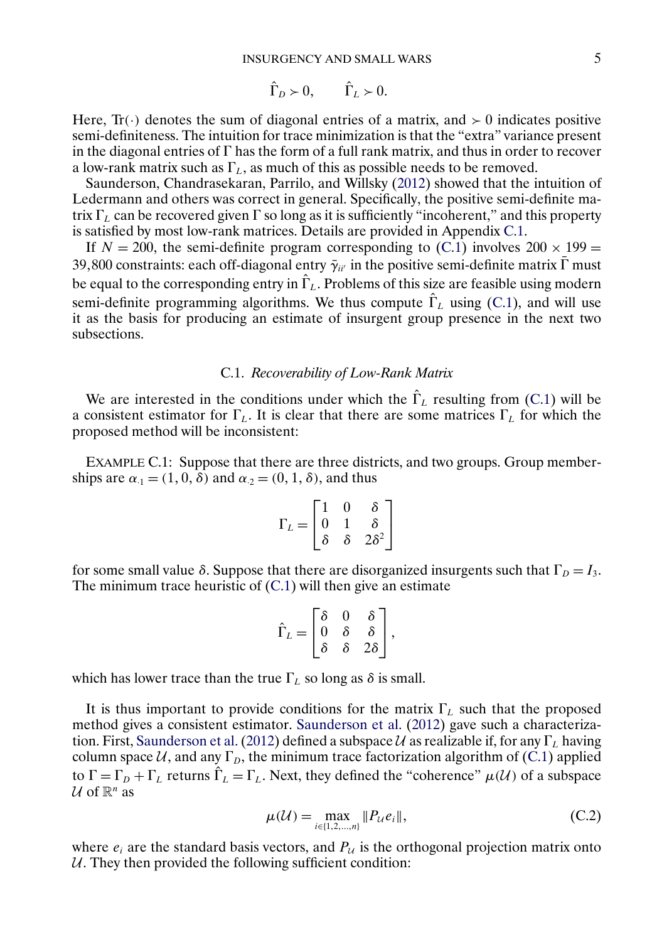$$
\hat{\Gamma}_D \succ 0, \qquad \hat{\Gamma}_L \succ 0.
$$

<span id="page-4-0"></span>Here,  $\text{Tr}(\cdot)$  denotes the sum of diagonal entries of a matrix, and  $> 0$  indicates positive semi-definiteness. The intuition for trace minimization is that the "extra" variance present in the diagonal entries of  $\Gamma$  has the form of a full rank matrix, and thus in order to recover a low-rank matrix such as  $\Gamma_L$ , as much of this as possible needs to be removed.

Saunderson, Chandrasekaran, Parrilo, and Willsky [\(2012\)](#page-32-0) showed that the intuition of Ledermann and others was correct in general. Specifically, the positive semi-definite matrix  $\Gamma_L$  can be recovered given  $\Gamma$  so long as it is sufficiently "incoherent," and this property is satisfied by most low-rank matrices. Details are provided in Appendix C.1.

If  $N = 200$ , the semi-definite program corresponding to [\(C.1\)](#page-3-0) involves  $200 \times 199 =$ 39,800 constraints: each off-diagonal entry  $\bar{\gamma}_{ii'}$  in the positive semi-definite matrix  $\bar{\Gamma}$  must be equal to the corresponding entry in  $\hat{\Gamma}_L$ . Problems of this size are feasible using modern semi-definite programming algorithms. We thus compute  $\hat{\Gamma}_L$  using [\(C.1\)](#page-3-0), and will use it as the basis for producing an estimate of insurgent group presence in the next two subsections.

#### C.1. *Recoverability of Low-Rank Matrix*

We are interested in the conditions under which the  $\hat{\Gamma}_L$  resulting from [\(C.1\)](#page-3-0) will be a consistent estimator for  $\Gamma_L$ . It is clear that there are some matrices  $\Gamma_L$  for which the proposed method will be inconsistent:

EXAMPLE C.1: Suppose that there are three districts, and two groups. Group memberships are  $\alpha_1 = (1, 0, \delta)$  and  $\alpha_2 = (0, 1, \delta)$ , and thus

$$
\Gamma_L = \begin{bmatrix} 1 & 0 & \delta \\ 0 & 1 & \delta \\ \delta & \delta & 2\delta^2 \end{bmatrix}
$$

for some small value δ. Suppose that there are disorganized insurgents such that  $\Gamma_D = I_3$ . The minimum trace heuristic of  $(C.1)$  will then give an estimate

$$
\hat{\Gamma}_L = \begin{bmatrix} \delta & 0 & \delta \\ 0 & \delta & \delta \\ \delta & \delta & 2\delta \end{bmatrix},
$$

which has lower trace than the true  $\Gamma_L$  so long as  $\delta$  is small.

It is thus important to provide conditions for the matrix  $\Gamma_L$  such that the proposed method gives a consistent estimator. [Saunderson et al.](#page-32-0) [\(2012\)](#page-32-0) gave such a characterization. First, Saunderson et al. (2012) defined a subspace  $U$  as realizable if, for any  $\Gamma_L$  having column space U, and any  $\Gamma_D$ , the minimum trace factorization algorithm of [\(C.1\)](#page-3-0) applied to  $\Gamma = \Gamma_D + \Gamma_L$  returns  $\hat{\Gamma}_L = \Gamma_L$ . Next, they defined the "coherence"  $\mu(\mathcal{U})$  of a subspace U of  $\mathbb{R}^n$  as

$$
\mu(\mathcal{U}) = \max_{i \in \{1, 2, \dots, n\}} \|P_{\mathcal{U}} e_i\|,\tag{C.2}
$$

where  $e_i$  are the standard basis vectors, and  $P_u$  is the orthogonal projection matrix onto  $U$ . They then provided the following sufficient condition: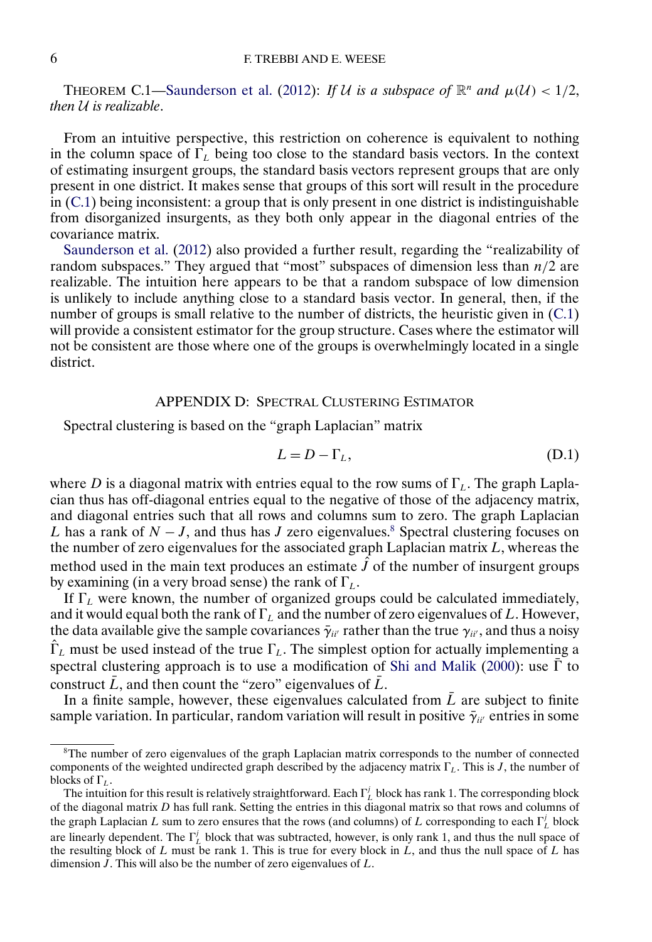<span id="page-5-0"></span>THEOREM C.1[—Saunderson et al.](#page-32-0) [\(2012\)](#page-32-0): *If U is a subspace of*  $\mathbb{R}^n$  *and*  $\mu(\mathcal{U}) < 1/2$ , *then* U *is realizable*.

From an intuitive perspective, this restriction on coherence is equivalent to nothing in the column space of  $\Gamma_L$  being too close to the standard basis vectors. In the context of estimating insurgent groups, the standard basis vectors represent groups that are only present in one district. It makes sense that groups of this sort will result in the procedure in [\(C.1\)](#page-3-0) being inconsistent: a group that is only present in one district is indistinguishable from disorganized insurgents, as they both only appear in the diagonal entries of the covariance matrix.

[Saunderson et al.](#page-32-0) [\(2012\)](#page-32-0) also provided a further result, regarding the "realizability of random subspaces." They argued that "most" subspaces of dimension less than  $n/2$  are realizable. The intuition here appears to be that a random subspace of low dimension is unlikely to include anything close to a standard basis vector. In general, then, if the number of groups is small relative to the number of districts, the heuristic given in  $(C.1)$ will provide a consistent estimator for the group structure. Cases where the estimator will not be consistent are those where one of the groups is overwhelmingly located in a single district.

## APPENDIX D: SPECTRAL CLUSTERING ESTIMATOR

Spectral clustering is based on the "graph Laplacian" matrix

$$
L = D - \Gamma_L,\tag{D.1}
$$

where D is a diagonal matrix with entries equal to the row sums of  $\Gamma_L$ . The graph Laplacian thus has off-diagonal entries equal to the negative of those of the adjacency matrix, and diagonal entries such that all rows and columns sum to zero. The graph Laplacian L has a rank of  $N - J$ , and thus has J zero eigenvalues.<sup>8</sup> Spectral clustering focuses on the number of zero eigenvalues for the associated graph Laplacian matrix  $L$ , whereas the method used in the main text produces an estimate  $\hat{J}$  of the number of insurgent groups by examining (in a very broad sense) the rank of  $\Gamma_L$ .

If  $\Gamma_L$  were known, the number of organized groups could be calculated immediately, and it would equal both the rank of  $\Gamma_L$  and the number of zero eigenvalues of L. However, the data available give the sample covariances  $\bar{\gamma}_{ii'}$  rather than the true  $\gamma_{ii'}$ , and thus a noisy  $\hat{\Gamma}_L$  must be used instead of the true  $\Gamma_L$ . The simplest option for actually implementing a spectral clustering approach is to use a modification of [Shi and Malik](#page-33-0) [\(2000\)](#page-33-0): use  $\overline{\Gamma}$  to construct  $\bar{L}$ , and then count the "zero" eigenvalues of  $\bar{L}$ .

In a finite sample, however, these eigenvalues calculated from  $\overline{L}$  are subject to finite sample variation. In particular, random variation will result in positive  $\bar{\gamma}_{ii'}$  entries in some

<sup>&</sup>lt;sup>8</sup>The number of zero eigenvalues of the graph Laplacian matrix corresponds to the number of connected components of the weighted undirected graph described by the adjacency matrix  $\Gamma_L$ . This is J, the number of blocks of  $\Gamma_L$ .

The intuition for this result is relatively straightforward. Each  $\Gamma_L^j$  block has rank 1. The corresponding block of the diagonal matrix  $D$  has full rank. Setting the entries in this diagonal matrix so that rows and columns of the graph Laplacian L sum to zero ensures that the rows (and columns) of L corresponding to each  $\Gamma_L^j$  block are linearly dependent. The  $\Gamma_L^j$  block that was subtracted, however, is only rank 1, and thus the null space of the resulting block of  $L$  must be rank 1. This is true for every block in  $L$ , and thus the null space of  $L$  has dimension  $J$ . This will also be the number of zero eigenvalues of  $L$ .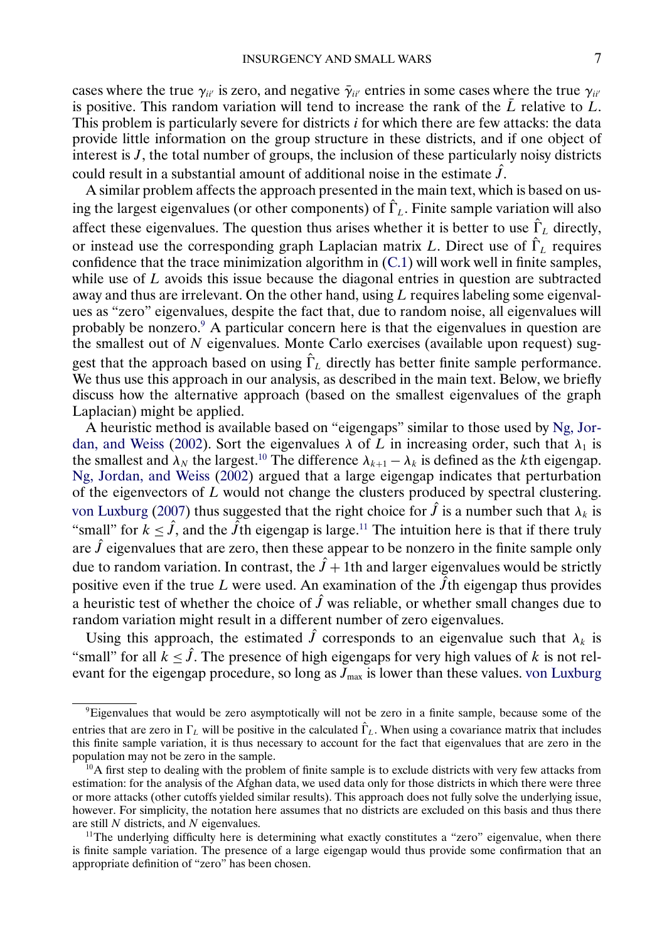<span id="page-6-0"></span>cases where the true  $\gamma_{ii'}$  is zero, and negative  $\bar{\gamma}_{ii'}$  entries in some cases where the true  $\gamma_{ii'}$ is positive. This random variation will tend to increase the rank of the  $\overline{L}$  relative to  $L$ . This problem is particularly severe for districts *i* for which there are few attacks: the data provide little information on the group structure in these districts, and if one object of interest is  $J$ , the total number of groups, the inclusion of these particularly noisy districts could result in a substantial amount of additional noise in the estimate  $\hat{J}$ .

A similar problem affects the approach presented in the main text, which is based on using the largest eigenvalues (or other components) of  $\hat{\Gamma}_L$ . Finite sample variation will also affect these eigenvalues. The question thus arises whether it is better to use  $\hat{\Gamma}_L$  directly, or instead use the corresponding graph Laplacian matrix L. Direct use of  $\hat{\Gamma}_L$  requires confidence that the trace minimization algorithm in [\(C.1\)](#page-3-0) will work well in finite samples, while use of  $L$  avoids this issue because the diagonal entries in question are subtracted away and thus are irrelevant. On the other hand, using  $L$  requires labeling some eigenvalues as "zero" eigenvalues, despite the fact that, due to random noise, all eigenvalues will probably be nonzero.9 A particular concern here is that the eigenvalues in question are the smallest out of  $N$  eigenvalues. Monte Carlo exercises (available upon request) suggest that the approach based on using  $\hat{\Gamma}_L$  directly has better finite sample performance. We thus use this approach in our analysis, as described in the main text. Below, we briefly discuss how the alternative approach (based on the smallest eigenvalues of the graph Laplacian) might be applied.

A heuristic method is available based on "eigengaps" similar to those used by [Ng, Jor](#page-32-0)[dan, and Weiss](#page-32-0) [\(2002\)](#page-32-0). Sort the eigenvalues  $\lambda$  of L in increasing order, such that  $\lambda_1$  is the smallest and  $\lambda_N$  the largest.<sup>10</sup> The difference  $\lambda_{k+1} - \lambda_k$  is defined as the kth eigengap. [Ng, Jordan, and Weiss](#page-32-0) [\(2002\)](#page-32-0) argued that a large eigengap indicates that perturbation of the eigenvectors of  $L$  would not change the clusters produced by spectral clustering. [von Luxburg](#page-33-0) [\(2007\)](#page-33-0) thus suggested that the right choice for  $\hat{J}$  is a number such that  $\lambda_k$  is "small" for  $k \leq \hat{j}$ , and the  $\tilde{j}$ th eigengap is large.<sup>11</sup> The intuition here is that if there truly are  $\hat{J}$  eigenvalues that are zero, then these appear to be nonzero in the finite sample only due to random variation. In contrast, the  $\hat{J}$  + 1th and larger eigenvalues would be strictly positive even if the true L were used. An examination of the  $\hat{J}$ th eigengap thus provides a heuristic test of whether the choice of  $\hat{J}$  was reliable, or whether small changes due to random variation might result in a different number of zero eigenvalues.

Using this approach, the estimated  $\hat{J}$  corresponds to an eigenvalue such that  $\lambda_k$  is "small" for all  $k \leq \hat{J}$ . The presence of high eigengaps for very high values of k is not relevant for the eigengap procedure, so long as  $\bar{J}_{\text{max}}$  is lower than these values. [von Luxburg](#page-33-0)

<sup>9</sup>Eigenvalues that would be zero asymptotically will not be zero in a finite sample, because some of the entries that are zero in  $\Gamma_L$  will be positive in the calculated  $\hat{\Gamma}_L$ . When using a covariance matrix that includes this finite sample variation, it is thus necessary to account for the fact that eigenvalues that are zero in the population may not be zero in the sample.

 $10A$  first step to dealing with the problem of finite sample is to exclude districts with very few attacks from estimation: for the analysis of the Afghan data, we used data only for those districts in which there were three or more attacks (other cutoffs yielded similar results). This approach does not fully solve the underlying issue, however. For simplicity, the notation here assumes that no districts are excluded on this basis and thus there are still N districts, and N eigenvalues.

 $11$ The underlying difficulty here is determining what exactly constitutes a "zero" eigenvalue, when there is finite sample variation. The presence of a large eigengap would thus provide some confirmation that an appropriate definition of "zero" has been chosen.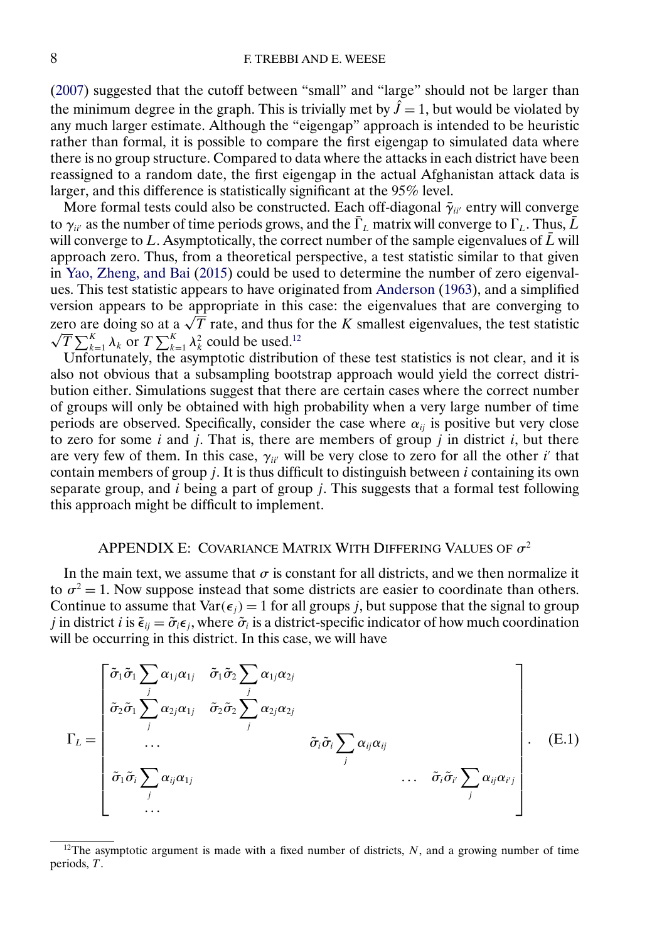<span id="page-7-0"></span>[\(2007\)](#page-33-0) suggested that the cutoff between "small" and "large" should not be larger than the minimum degree in the graph. This is trivially met by  $\hat{J} = 1$ , but would be violated by any much larger estimate. Although the "eigengap" approach is intended to be heuristic rather than formal, it is possible to compare the first eigengap to simulated data where there is no group structure. Compared to data where the attacks in each district have been reassigned to a random date, the first eigengap in the actual Afghanistan attack data is larger, and this difference is statistically significant at the 95% level.

More formal tests could also be constructed. Each off-diagonal  $\bar{\gamma}_{ii'}$  entry will converge to  $\gamma_{ii'}$  as the number of time periods grows, and the  $\bar{\Gamma}_L$  matrix will converge to  $\Gamma_L$ . Thus,  $\bar{L}$ will converge to L. Asymptotically, the correct number of the sample eigenvalues of  $\bar{L}$  will approach zero. Thus, from a theoretical perspective, a test statistic similar to that given in [Yao, Zheng, and Bai](#page-33-0) [\(2015\)](#page-33-0) could be used to determine the number of zero eigenvalues. This test statistic appears to have originated from [Anderson](#page-32-0) [\(1963\)](#page-32-0), and a simplified version appears to be appropriate in this case: the eigenvalues that are converging to version appears to be appropriate in this case: the eigenvalues that are converging to<br>zero are doing so at a  $\sqrt{T}$  rate, and thus for the K smallest eigenvalues, the test statistic  $\overline{T}\sum_{k=1}^K \lambda_k$  or  $T\sum_{k=1}^K \lambda_k^2$  could be used.<sup>12</sup>

Unfortunately, the asymptotic distribution of these test statistics is not clear, and it is also not obvious that a subsampling bootstrap approach would yield the correct distribution either. Simulations suggest that there are certain cases where the correct number of groups will only be obtained with high probability when a very large number of time periods are observed. Specifically, consider the case where  $\alpha_{ij}$  is positive but very close to zero for some i and j. That is, there are members of group j in district i, but there are very few of them. In this case,  $\gamma_{ii'}$  will be very close to zero for all the other i' that contain members of group  $j$ . It is thus difficult to distinguish between  $i$  containing its own separate group, and  $i$  being a part of group  $j$ . This suggests that a formal test following this approach might be difficult to implement.

# APPENDIX E: COVARIANCE MATRIX WITH DIFFERING VALUES OF  $\sigma^2$

In the main text, we assume that  $\sigma$  is constant for all districts, and we then normalize it to  $\sigma^2 = 1$ . Now suppose instead that some districts are easier to coordinate than others. Continue to assume that  $Var(\epsilon_j) = 1$  for all groups j, but suppose that the signal to group *j* in district *i* is  $\tilde{\epsilon}_{ij} = \tilde{\sigma}_i \epsilon_j$ , where  $\tilde{\sigma}_i$  is a district-specific indicator of how much coordination will be occurring in this district. In this case, we will have

$$
\Gamma_{L} = \begin{bmatrix}\n\tilde{\sigma}_{1} \tilde{\sigma}_{1} \sum_{j} \alpha_{1j} \alpha_{1j} & \tilde{\sigma}_{1} \tilde{\sigma}_{2} \sum_{j} \alpha_{1j} \alpha_{2j} \\
\tilde{\sigma}_{2} \tilde{\sigma}_{1} \sum_{j} \alpha_{2j} \alpha_{1j} & \tilde{\sigma}_{2} \tilde{\sigma}_{2} \sum_{j} \alpha_{2j} \alpha_{2j} \\
\dots & \tilde{\sigma}_{i} \tilde{\sigma}_{i} \sum_{j} \alpha_{ij} \alpha_{ij} \\
\tilde{\sigma}_{1} \tilde{\sigma}_{i} \sum_{j} \alpha_{ij} \alpha_{1j} & \dots & \tilde{\sigma}_{i} \tilde{\sigma}_{i} \sum_{j} \alpha_{ij} \alpha_{i'j} \\
\dots & \dots & \dots & \dots\n\end{bmatrix}.
$$
\n(E.1)

<sup>&</sup>lt;sup>12</sup>The asymptotic argument is made with a fixed number of districts, N, and a growing number of time periods, T.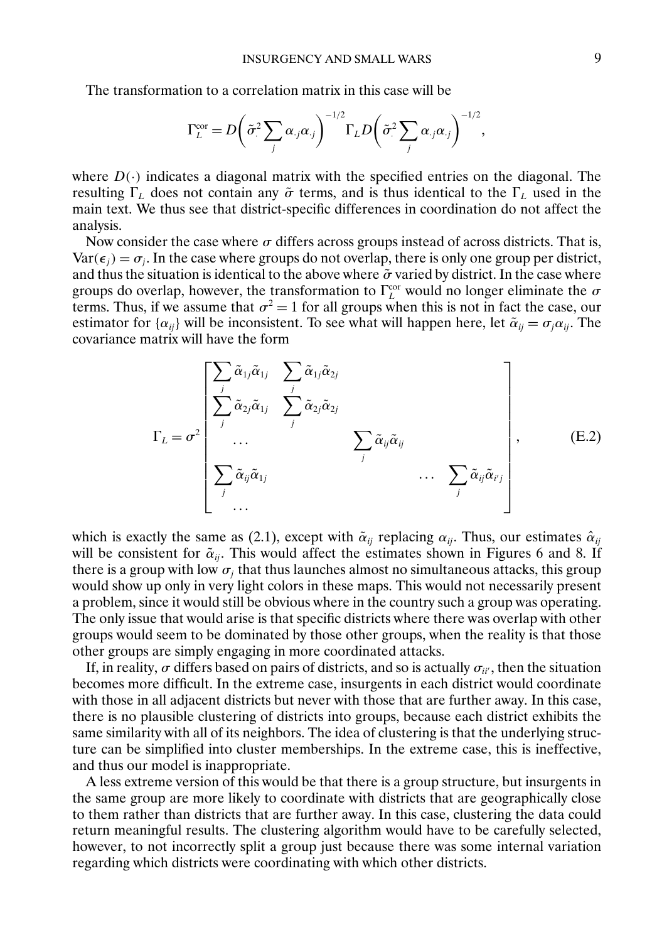The transformation to a correlation matrix in this case will be

$$
\Gamma_L^{\text{cor}} = D \bigg( \tilde{\sigma}^2 \sum_j \alpha_{,j} \alpha_{,j} \bigg)^{-1/2} \Gamma_L D \bigg( \tilde{\sigma}^2 \sum_j \alpha_{,j} \alpha_{,j} \bigg)^{-1/2},
$$

where  $D(\cdot)$  indicates a diagonal matrix with the specified entries on the diagonal. The resulting  $\Gamma_L$  does not contain any  $\tilde{\sigma}$  terms, and is thus identical to the  $\Gamma_L$  used in the main text. We thus see that district-specific differences in coordination do not affect the analysis.

Now consider the case where  $\sigma$  differs across groups instead of across districts. That is,  $Var(\epsilon_j) = \sigma_j$ . In the case where groups do not overlap, there is only one group per district, and thus the situation is identical to the above where  $\tilde{\sigma}$  varied by district. In the case where groups do overlap, however, the transformation to  $\Gamma_L^{\text{cor}}$  would no longer eliminate the  $\sigma$ terms. Thus, if we assume that  $\sigma^2 = 1$  for all groups when this is not in fact the case, our estimator for  $\{\alpha_{ij}\}\$  will be inconsistent. To see what will happen here, let  $\tilde{\alpha}_{ij} = \sigma_j \alpha_{ij}$ . The covariance matrix will have the form

$$
\Gamma_{L} = \sigma^{2} \begin{bmatrix}\n\sum_{j} \tilde{\alpha}_{1j} \tilde{\alpha}_{1j} & \sum_{j} \tilde{\alpha}_{1j} \tilde{\alpha}_{2j} \\
\sum_{j} \tilde{\alpha}_{2j} \tilde{\alpha}_{1j} & \sum_{j} \tilde{\alpha}_{2j} \tilde{\alpha}_{2j} \\
\vdots & \vdots & \ddots \\
\sum_{j} \tilde{\alpha}_{ij} \tilde{\alpha}_{1j} & & \cdots & \sum_{j} \tilde{\alpha}_{ij} \tilde{\alpha}_{i'j} \\
\vdots & \vdots & \ddots & \ddots & \sum_{j} \tilde{\alpha}_{ij} \tilde{\alpha}_{i'j}\n\end{bmatrix},
$$
\n(E.2)

which is exactly the same as (2.1), except with  $\tilde{\alpha}_{ii}$  replacing  $\alpha_{ii}$ . Thus, our estimates  $\hat{\alpha}_{ii}$ will be consistent for  $\tilde{\alpha}_{ii}$ . This would affect the estimates shown in Figures 6 and 8. If there is a group with low  $\sigma_i$  that thus launches almost no simultaneous attacks, this group would show up only in very light colors in these maps. This would not necessarily present a problem, since it would still be obvious where in the country such a group was operating. The only issue that would arise is that specific districts where there was overlap with other groups would seem to be dominated by those other groups, when the reality is that those other groups are simply engaging in more coordinated attacks.

If, in reality,  $\sigma$  differs based on pairs of districts, and so is actually  $\sigma_{ii'}$ , then the situation becomes more difficult. In the extreme case, insurgents in each district would coordinate with those in all adjacent districts but never with those that are further away. In this case, there is no plausible clustering of districts into groups, because each district exhibits the same similarity with all of its neighbors. The idea of clustering is that the underlying structure can be simplified into cluster memberships. In the extreme case, this is ineffective, and thus our model is inappropriate.

A less extreme version of this would be that there is a group structure, but insurgents in the same group are more likely to coordinate with districts that are geographically close to them rather than districts that are further away. In this case, clustering the data could return meaningful results. The clustering algorithm would have to be carefully selected, however, to not incorrectly split a group just because there was some internal variation regarding which districts were coordinating with which other districts.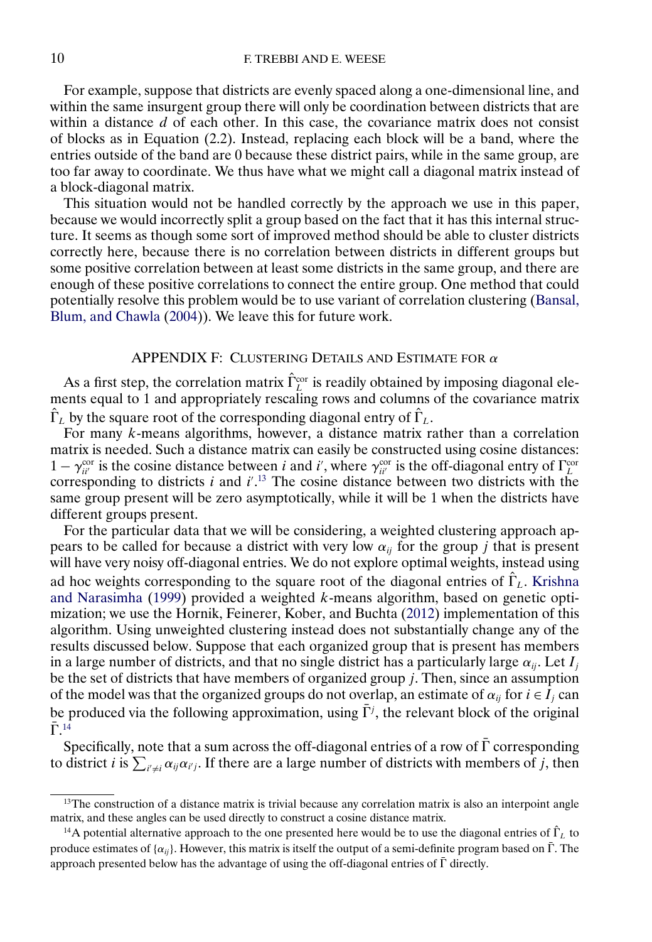<span id="page-9-0"></span>For example, suppose that districts are evenly spaced along a one-dimensional line, and within the same insurgent group there will only be coordination between districts that are within a distance  $d$  of each other. In this case, the covariance matrix does not consist of blocks as in Equation (2.2). Instead, replacing each block will be a band, where the entries outside of the band are 0 because these district pairs, while in the same group, are too far away to coordinate. We thus have what we might call a diagonal matrix instead of a block-diagonal matrix.

This situation would not be handled correctly by the approach we use in this paper, because we would incorrectly split a group based on the fact that it has this internal structure. It seems as though some sort of improved method should be able to cluster districts correctly here, because there is no correlation between districts in different groups but some positive correlation between at least some districts in the same group, and there are enough of these positive correlations to connect the entire group. One method that could potentially resolve this problem would be to use variant of correlation clustering [\(Bansal,](#page-32-0) [Blum, and Chawla](#page-32-0) [\(2004\)](#page-32-0)). We leave this for future work.

# APPENDIX F: CLUSTERING DETAILS AND ESTIMATE FOR  $\alpha$

As a first step, the correlation matrix  $\hat{\Gamma}_L^{\text{cor}}$  is readily obtained by imposing diagonal elements equal to 1 and appropriately rescaling rows and columns of the covariance matrix  $\hat{\Gamma}_L$  by the square root of the corresponding diagonal entry of  $\hat{\Gamma}_L$ .

For many  $k$ -means algorithms, however, a distance matrix rather than a correlation matrix is needed. Such a distance matrix can easily be constructed using cosine distances:  $1 - \gamma_{ii'}^{\text{cor}}$  is the cosine distance between *i* and *i'*, where  $\gamma_{ii'}^{\text{cor}}$  is the off-diagonal entry of  $\Gamma_L^{\text{cor}}$ corresponding to districts  $i$  and  $i'$ .<sup>13</sup> The cosine distance between two districts with the same group present will be zero asymptotically, while it will be 1 when the districts have different groups present.

For the particular data that we will be considering, a weighted clustering approach appears to be called for because a district with very low  $\alpha_{ii}$  for the group j that is present will have very noisy off-diagonal entries. We do not explore optimal weights, instead using ad hoc weights corresponding to the square root of the diagonal entries of  $\hat{\Gamma}_L$ . [Krishna](#page-32-0) [and Narasimha](#page-32-0) [\(1999\)](#page-32-0) provided a weighted  $k$ -means algorithm, based on genetic optimization; we use the Hornik, Feinerer, Kober, and Buchta [\(2012\)](#page-32-0) implementation of this algorithm. Using unweighted clustering instead does not substantially change any of the results discussed below. Suppose that each organized group that is present has members in a large number of districts, and that no single district has a particularly large  $\alpha_{ij}$ . Let  $I_j$ be the set of districts that have members of organized group  $j$ . Then, since an assumption of the model was that the organized groups do not overlap, an estimate of  $\alpha_{ij}$  for  $i \in I_j$  can be produced via the following approximation, using  $\bar{\Gamma}^j$ , the relevant block of the original  $\bar{\Gamma}$ <sup>14</sup>

Specifically, note that a sum across the off-diagonal entries of a row of  $\bar{\Gamma}$  corresponding to district *i* is  $\sum_{i'\neq i} \alpha_{ij} \alpha_{i'j}$ . If there are a large number of districts with members of *j*, then

<sup>&</sup>lt;sup>13</sup>The construction of a distance matrix is trivial because any correlation matrix is also an interpoint angle matrix, and these angles can be used directly to construct a cosine distance matrix.

<sup>&</sup>lt;sup>14</sup>A potential alternative approach to the one presented here would be to use the diagonal entries of  $\hat{\Gamma}_L$  to produce estimates of  $\{\alpha_{ii}\}$ . However, this matrix is itself the output of a semi-definite program based on  $\bar{\Gamma}$ . The approach presented below has the advantage of using the off-diagonal entries of  $\bar{\Gamma}$  directly.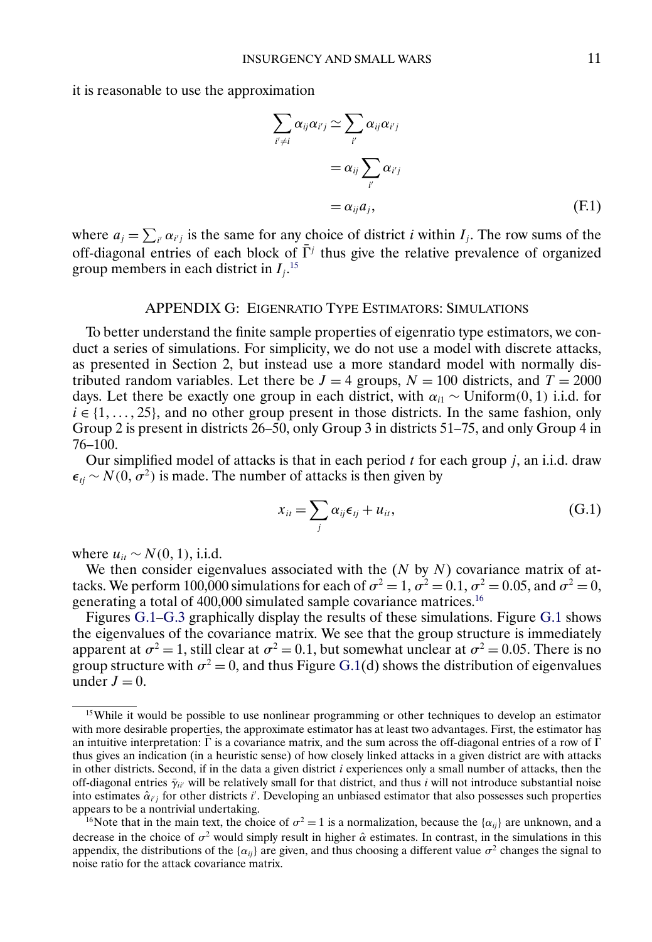it is reasonable to use the approximation

$$
\sum_{i' \neq i} \alpha_{ij} \alpha_{i'j} \simeq \sum_{i'} \alpha_{ij} \alpha_{i'j}
$$
  
=  $\alpha_{ij} \sum_{i'} \alpha_{i'j}$   
=  $\alpha_{ij} a_j$ , (F.1)

where  $a_j = \sum_{i'} \alpha_{i'j}$  is the same for any choice of district *i* within  $I_j$ . The row sums of the off-diagonal entries of each block of  $\bar{\Gamma}^j$  thus give the relative prevalence of organized group members in each district in  $I_j$ .<sup>15</sup>

#### APPENDIX G: EIGENRATIO TYPE ESTIMATORS: SIMULATIONS

To better understand the finite sample properties of eigenratio type estimators, we conduct a series of simulations. For simplicity, we do not use a model with discrete attacks, as presented in Section 2, but instead use a more standard model with normally distributed random variables. Let there be  $J = 4$  groups,  $N = 100$  districts, and  $T = 2000$ days. Let there be exactly one group in each district, with  $\alpha_{i1} \sim \text{Uniform}(0, 1)$  i.i.d. for  $i \in \{1, \ldots, 25\}$ , and no other group present in those districts. In the same fashion, only Group 2 is present in districts 26–50, only Group 3 in districts 51–75, and only Group 4 in 76–100.

Our simplified model of attacks is that in each period  $t$  for each group  $j$ , an i.i.d. draw  $\epsilon_{tj} \sim N(0, \sigma^2)$  is made. The number of attacks is then given by

$$
x_{it} = \sum_{j} \alpha_{ij} \epsilon_{tj} + u_{it}, \qquad (G.1)
$$

where  $u_{it} \sim N(0, 1)$ , i.i.d.

We then consider eigenvalues associated with the  $(N \text{ by } N)$  covariance matrix of attacks. We perform 100,000 simulations for each of  $\sigma^2 = 1$ ,  $\sigma^2 = 0.1$ ,  $\sigma^2 = 0.05$ , and  $\sigma^2 = 0$ , generating a total of 400,000 simulated sample covariance matrices.16

Figures [G.1–](#page-11-0)[G.3](#page-13-0) graphically display the results of these simulations. Figure [G.1](#page-11-0) shows the eigenvalues of the covariance matrix. We see that the group structure is immediately apparent at  $\sigma^2 = 1$ , still clear at  $\sigma^2 = 0.1$ , but somewhat unclear at  $\sigma^2 = 0.05$ . There is no group structure with  $\sigma^2 = 0$ , and thus Figure [G.1\(](#page-11-0)d) shows the distribution of eigenvalues under  $J = 0$ .

<sup>&</sup>lt;sup>15</sup>While it would be possible to use nonlinear programming or other techniques to develop an estimator with more desirable properties, the approximate estimator has at least two advantages. First, the estimator has an intuitive interpretation:  $\overline{\Gamma}$  is a covariance matrix, and the sum across the off-diagonal entries of a row of  $\overline{\Gamma}$ thus gives an indication (in a heuristic sense) of how closely linked attacks in a given district are with attacks in other districts. Second, if in the data a given district  $i$  experiences only a small number of attacks, then the off-diagonal entries  $\bar{\gamma}_{ii'}$  will be relatively small for that district, and thus i will not introduce substantial noise into estimates  $\hat{\alpha}_{i,j}$  for other districts i'. Developing an unbiased estimator that also possesses such properties appears to be a nontrivial undertaking.

<sup>&</sup>lt;sup>16</sup>Note that in the main text, the choice of  $\sigma^2 = 1$  is a normalization, because the { $\alpha_{ii}$ } are unknown, and a decrease in the choice of  $\sigma^2$  would simply result in higher  $\hat{\alpha}$  estimates. In contrast, in the simulations in this appendix, the distributions of the { $\alpha_{ii}$ } are given, and thus choosing a different value  $\sigma^2$  changes the signal to noise ratio for the attack covariance matrix.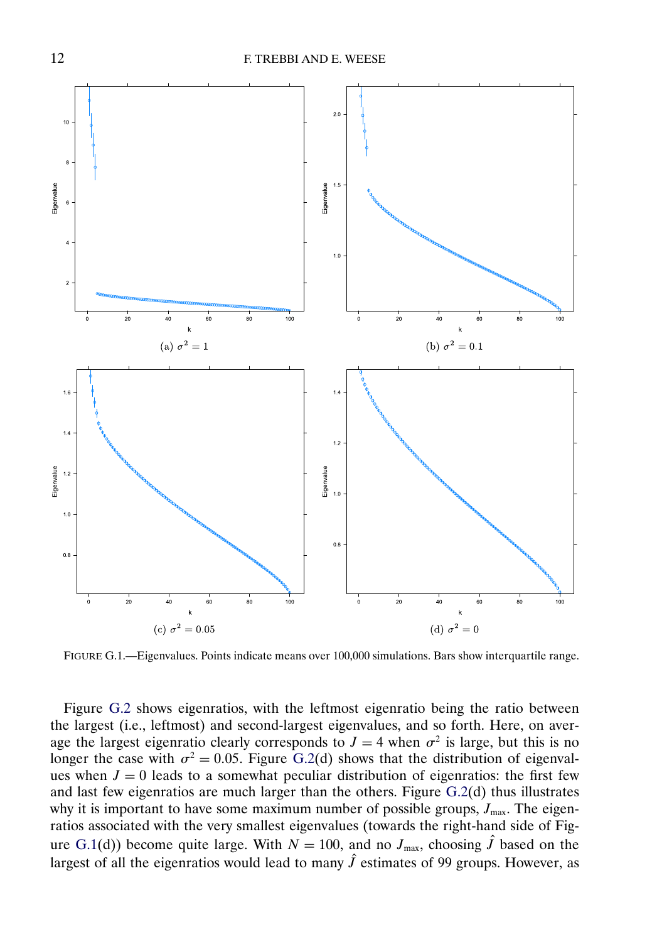<span id="page-11-0"></span>

FIGURE G.1.—Eigenvalues. Points indicate means over 100,000 simulations. Bars show interquartile range.

Figure [G.2](#page-12-0) shows eigenratios, with the leftmost eigenratio being the ratio between the largest (i.e., leftmost) and second-largest eigenvalues, and so forth. Here, on average the largest eigenratio clearly corresponds to  $J = 4$  when  $\sigma^2$  is large, but this is no longer the case with  $\sigma^2 = 0.05$ . Figure [G.2\(](#page-12-0)d) shows that the distribution of eigenvalues when  $J = 0$  leads to a somewhat peculiar distribution of eigenratios: the first few and last few eigenratios are much larger than the others. Figure [G.2\(](#page-12-0)d) thus illustrates why it is important to have some maximum number of possible groups,  $J_{\text{max}}$ . The eigenratios associated with the very smallest eigenvalues (towards the right-hand side of Figure G.1(d)) become quite large. With  $N = 100$ , and no  $J_{\text{max}}$ , choosing  $\hat{J}$  based on the largest of all the eigenratios would lead to many  $\hat{J}$  estimates of 99 groups. However, as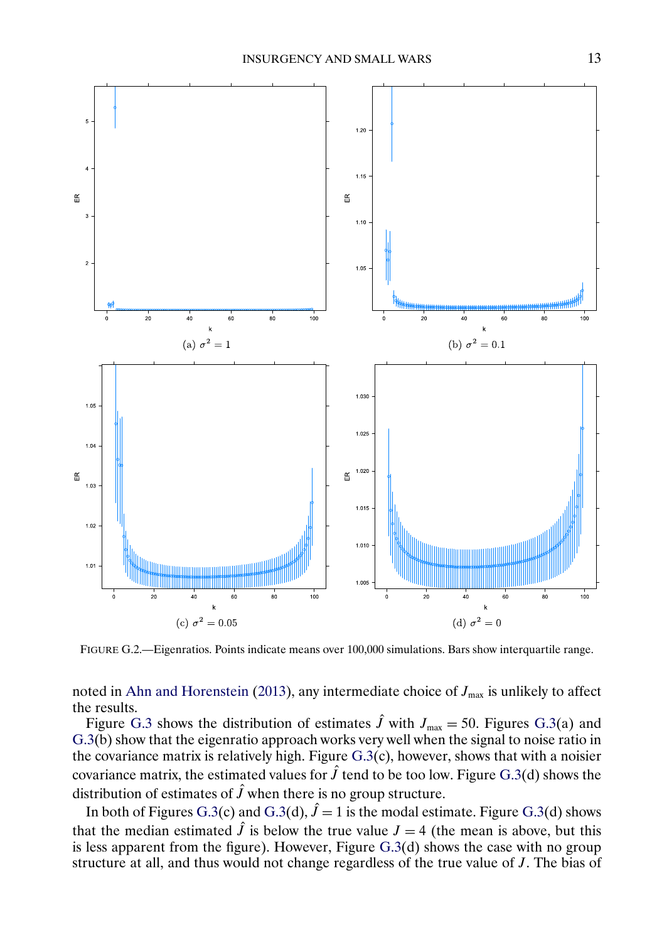<span id="page-12-0"></span>

FIGURE G.2.—Eigenratios. Points indicate means over 100,000 simulations. Bars show interquartile range.

noted in [Ahn and Horenstein](#page-32-0) [\(2013\)](#page-32-0), any intermediate choice of  $J_{\text{max}}$  is unlikely to affect the results.

Figure [G.3](#page-13-0) shows the distribution of estimates  $\hat{J}$  with  $J_{\text{max}} = 50$ . Figures [G.3\(](#page-13-0)a) and  $G.3(\bar{b})$  $G.3(\bar{b})$  show that the eigenratio approach works very well when the signal to noise ratio in the covariance matrix is relatively high. Figure  $G.3(c)$  $G.3(c)$ , however, shows that with a noisier covariance matrix, the estimated values for  $\hat{J}$  tend to be too low. Figure [G.3\(](#page-13-0)d) shows the distribution of estimates of  $\hat{J}$  when there is no group structure.

In both of Figures [G.3\(](#page-13-0)c) and G.3(d),  $\hat{J} = 1$  is the modal estimate. Figure G.3(d) shows that the median estimated  $\hat{J}$  is below the true value  $J = 4$  (the mean is above, but this is less apparent from the figure). However, Figure [G.3\(](#page-13-0)d) shows the case with no group structure at all, and thus would not change regardless of the true value of J. The bias of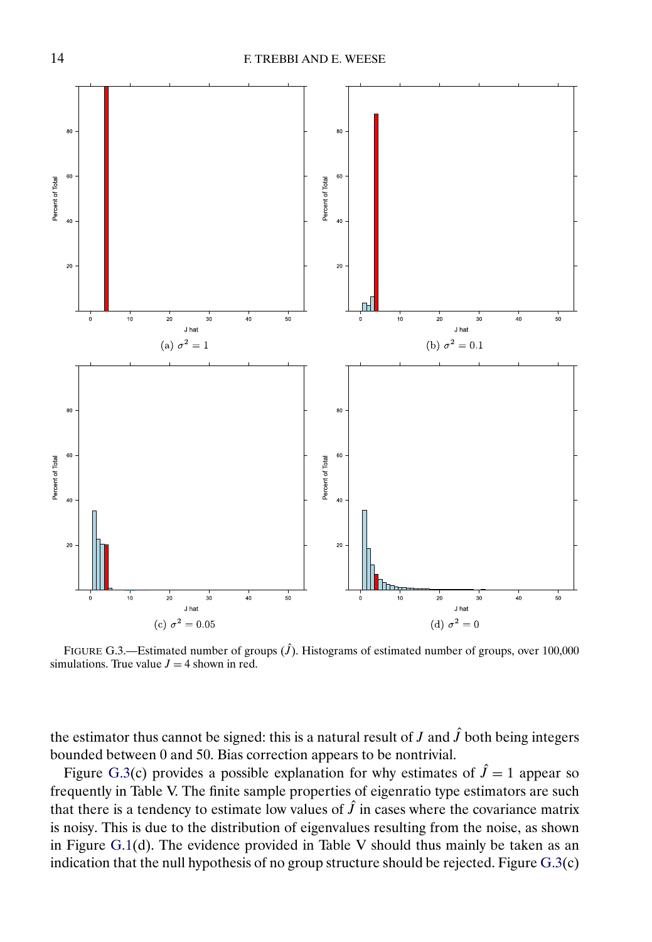<span id="page-13-0"></span>

FIGURE G.3.—Estimated number of groups  $(\hat{J})$ . Histograms of estimated number of groups, over 100,000 simulations. True value  $J = 4$  shown in red.

the estimator thus cannot be signed: this is a natural result of J and  $\hat{J}$  both being integers bounded between 0 and 50. Bias correction appears to be nontrivial.

Figure G.3(c) provides a possible explanation for why estimates of  $\hat{J} = 1$  appear so frequently in Table V. The finite sample properties of eigenratio type estimators are such that there is a tendency to estimate low values of  $\hat{J}$  in cases where the covariance matrix is noisy. This is due to the distribution of eigenvalues resulting from the noise, as shown in Figure [G.1\(](#page-11-0)d). The evidence provided in Table V should thus mainly be taken as an indication that the null hypothesis of no group structure should be rejected. Figure G.3(c)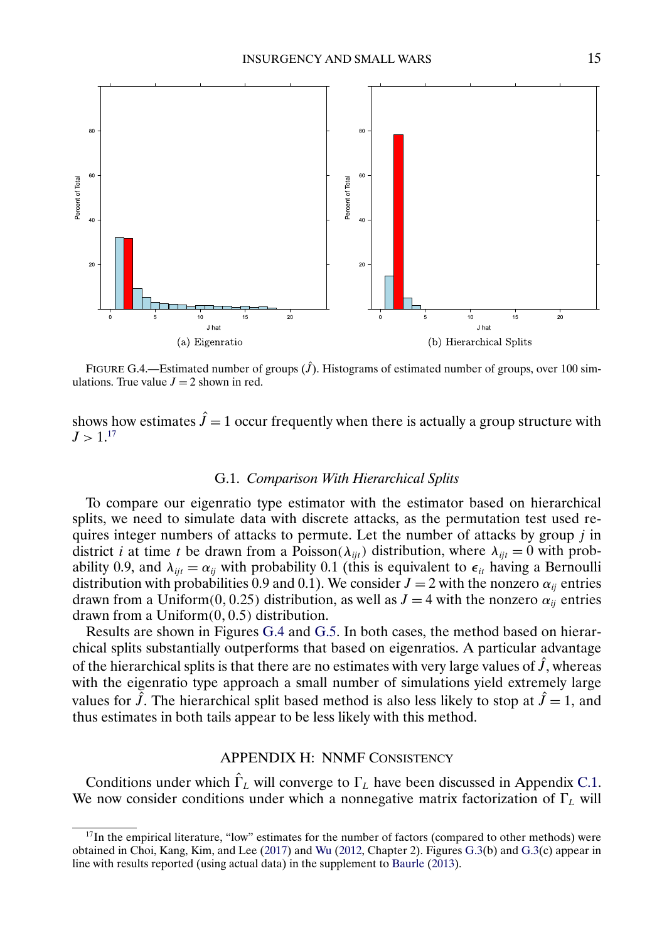<span id="page-14-0"></span>

FIGURE G.4.—Estimated number of groups  $(\hat{J})$ . Histograms of estimated number of groups, over 100 simulations. True value  $J = 2$  shown in red.

shows how estimates  $\hat{J} = 1$  occur frequently when there is actually a group structure with  $J > 1^{17}$ 

## G.1. *Comparison With Hierarchical Splits*

To compare our eigenratio type estimator with the estimator based on hierarchical splits, we need to simulate data with discrete attacks, as the permutation test used requires integer numbers of attacks to permute. Let the number of attacks by group j in district *i* at time *t* be drawn from a Poisson( $\lambda_{ijt}$ ) distribution, where  $\lambda_{ijt} = 0$  with probability 0.9, and  $\lambda_{ijt} = \alpha_{ij}$  with probability 0.1 (this is equivalent to  $\epsilon_{it}$  having a Bernoulli distribution with probabilities 0.9 and 0.1). We consider  $J = 2$  with the nonzero  $\alpha_{ij}$  entries drawn from a Uniform(0, 0.25) distribution, as well as  $J = 4$  with the nonzero  $\alpha_{ii}$  entries drawn from a Uniform $(0, 0.5)$  distribution.

Results are shown in Figures G.4 and [G.5.](#page-15-0) In both cases, the method based on hierarchical splits substantially outperforms that based on eigenratios. A particular advantage of the hierarchical splits is that there are no estimates with very large values of  $\hat{J}$ , whereas with the eigenratio type approach a small number of simulations yield extremely large values for  $\hat{J}$ . The hierarchical split based method is also less likely to stop at  $\hat{J} = 1$ , and thus estimates in both tails appear to be less likely with this method.

## APPENDIX H: NNMF CONSISTENCY

Conditions under which  $\hat{\Gamma}_L$  will converge to  $\Gamma_L$  have been discussed in Appendix [C.1.](#page-4-0) We now consider conditions under which a nonnegative matrix factorization of  $\Gamma_L$  will

 $17$ In the empirical literature, "low" estimates for the number of factors (compared to other methods) were obtained in Choi, Kang, Kim, and Lee [\(2017\)](#page-32-0) and [Wu](#page-33-0) [\(2012,](#page-33-0) Chapter 2). Figures [G.3\(](#page-13-0)b) and [G.3\(](#page-13-0)c) appear in line with results reported (using actual data) in the supplement to [Baurle](#page-32-0) [\(2013\)](#page-32-0).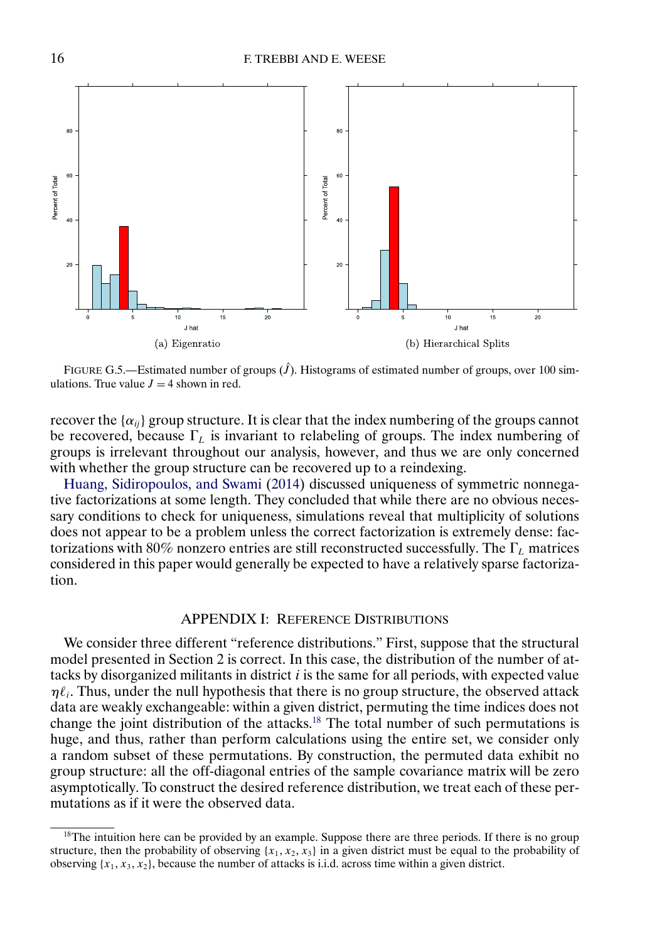<span id="page-15-0"></span>

FIGURE G.5.—Estimated number of groups  $(\hat{J})$ . Histograms of estimated number of groups, over 100 simulations. True value  $J = 4$  shown in red.

recover the  $\{\alpha_{ij}\}$  group structure. It is clear that the index numbering of the groups cannot be recovered, because  $\Gamma_L$  is invariant to relabeling of groups. The index numbering of groups is irrelevant throughout our analysis, however, and thus we are only concerned with whether the group structure can be recovered up to a reindexing.

[Huang, Sidiropoulos, and Swami](#page-32-0) [\(2014\)](#page-32-0) discussed uniqueness of symmetric nonnegative factorizations at some length. They concluded that while there are no obvious necessary conditions to check for uniqueness, simulations reveal that multiplicity of solutions does not appear to be a problem unless the correct factorization is extremely dense: factorizations with 80% nonzero entries are still reconstructed successfully. The  $\Gamma_L$  matrices considered in this paper would generally be expected to have a relatively sparse factorization.

## APPENDIX I: REFERENCE DISTRIBUTIONS

We consider three different "reference distributions." First, suppose that the structural model presented in Section 2 is correct. In this case, the distribution of the number of attacks by disorganized militants in district  $i$  is the same for all periods, with expected value  $\eta \ell_i$ . Thus, under the null hypothesis that there is no group structure, the observed attack data are weakly exchangeable: within a given district, permuting the time indices does not change the joint distribution of the attacks.<sup>18</sup> The total number of such permutations is huge, and thus, rather than perform calculations using the entire set, we consider only a random subset of these permutations. By construction, the permuted data exhibit no group structure: all the off-diagonal entries of the sample covariance matrix will be zero asymptotically. To construct the desired reference distribution, we treat each of these permutations as if it were the observed data.

<sup>&</sup>lt;sup>18</sup>The intuition here can be provided by an example. Suppose there are three periods. If there is no group structure, then the probability of observing  $\{x_1, x_2, x_3\}$  in a given district must be equal to the probability of observing  $\{x_1, x_3, x_2\}$ , because the number of attacks is i.i.d. across time within a given district.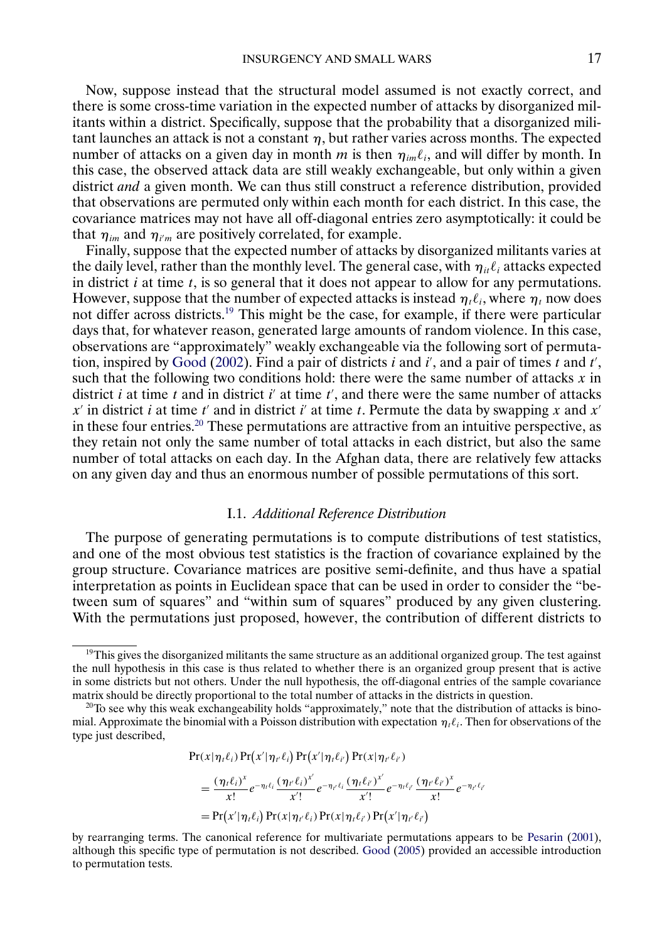<span id="page-16-0"></span>Now, suppose instead that the structural model assumed is not exactly correct, and there is some cross-time variation in the expected number of attacks by disorganized militants within a district. Specifically, suppose that the probability that a disorganized militant launches an attack is not a constant  $\eta$ , but rather varies across months. The expected number of attacks on a given day in month m is then  $\eta_{im}\ell_i$ , and will differ by month. In this case, the observed attack data are still weakly exchangeable, but only within a given district *and* a given month. We can thus still construct a reference distribution, provided that observations are permuted only within each month for each district. In this case, the covariance matrices may not have all off-diagonal entries zero asymptotically: it could be that  $\eta_{im}$  and  $\eta_{i'm}$  are positively correlated, for example.

Finally, suppose that the expected number of attacks by disorganized militants varies at the daily level, rather than the monthly level. The general case, with  $\eta_{it}\ell_i$  attacks expected in district  $i$  at time  $t$ , is so general that it does not appear to allow for any permutations. However, suppose that the number of expected attacks is instead  $\eta_t \ell_i$ , where  $\eta_t$  now does not differ across districts.<sup>19</sup> This might be the case, for example, if there were particular days that, for whatever reason, generated large amounts of random violence. In this case, observations are "approximately" weakly exchangeable via the following sort of permuta-tion, inspired by [Good](#page-32-0) [\(2002\)](#page-32-0). Find a pair of districts  $i$  and  $i'$ , and a pair of times  $t$  and  $t'$ , such that the following two conditions hold: there were the same number of attacks  $x$  in district i at time t and in district i' at time  $t'$ , and there were the same number of attacks  $x'$  in district i at time t' and in district i' at time t. Permute the data by swapping x and  $x'$ in these four entries.<sup>20</sup> These permutations are attractive from an intuitive perspective, as they retain not only the same number of total attacks in each district, but also the same number of total attacks on each day. In the Afghan data, there are relatively few attacks on any given day and thus an enormous number of possible permutations of this sort.

### I.1. *Additional Reference Distribution*

The purpose of generating permutations is to compute distributions of test statistics, and one of the most obvious test statistics is the fraction of covariance explained by the group structure. Covariance matrices are positive semi-definite, and thus have a spatial interpretation as points in Euclidean space that can be used in order to consider the "between sum of squares" and "within sum of squares" produced by any given clustering. With the permutations just proposed, however, the contribution of different districts to

$$
Pr(x|\eta_t\ell_i) Pr(x'|\eta_{t'}\ell_i) Pr(x'|\eta_t\ell_{i'}) Pr(x|\eta_{t'}\ell_{i'})
$$

$$
= \frac{(\eta_t \ell_i)^x}{x!} e^{-\eta_t \ell_i} \frac{(\eta_{t'} \ell_i)^{x'}}{x'!} e^{-\eta_{t'} \ell_i} \frac{(\eta_t \ell_{t'})^{x'}}{x'!} e^{-\eta_t \ell_{t'}} \frac{(\eta_{t'} \ell_{t'})^{x}}{x!} e^{-\eta_{t'} \ell_{t'}} = \Pr(x'|\eta_t \ell_i) \Pr(x|\eta_{t'} \ell_i) \Pr(x|\eta_t \ell_{t'}) \Pr(x'|\eta_{t'} \ell_{t'})
$$

<sup>&</sup>lt;sup>19</sup>This gives the disorganized militants the same structure as an additional organized group. The test against the null hypothesis in this case is thus related to whether there is an organized group present that is active in some districts but not others. Under the null hypothesis, the off-diagonal entries of the sample covariance matrix should be directly proportional to the total number of attacks in the districts in question.

 $20$ To see why this weak exchangeability holds "approximately," note that the distribution of attacks is binomial. Approximate the binomial with a Poisson distribution with expectation  $\eta_i \ell_i$ . Then for observations of the type just described,

by rearranging terms. The canonical reference for multivariate permutations appears to be [Pesarin](#page-32-0) [\(2001\)](#page-32-0), although this specific type of permutation is not described. [Good](#page-32-0) [\(2005\)](#page-32-0) provided an accessible introduction to permutation tests.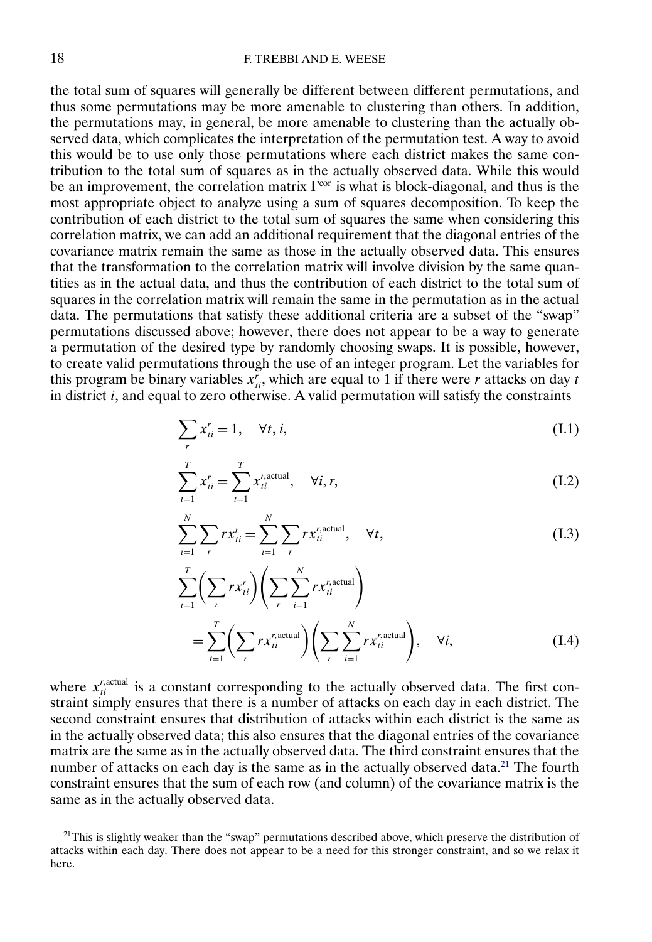the total sum of squares will generally be different between different permutations, and thus some permutations may be more amenable to clustering than others. In addition, the permutations may, in general, be more amenable to clustering than the actually observed data, which complicates the interpretation of the permutation test. A way to avoid this would be to use only those permutations where each district makes the same contribution to the total sum of squares as in the actually observed data. While this would be an improvement, the correlation matrix  $\Gamma^{cor}$  is what is block-diagonal, and thus is the most appropriate object to analyze using a sum of squares decomposition. To keep the contribution of each district to the total sum of squares the same when considering this correlation matrix, we can add an additional requirement that the diagonal entries of the covariance matrix remain the same as those in the actually observed data. This ensures that the transformation to the correlation matrix will involve division by the same quantities as in the actual data, and thus the contribution of each district to the total sum of squares in the correlation matrix will remain the same in the permutation as in the actual data. The permutations that satisfy these additional criteria are a subset of the "swap" permutations discussed above; however, there does not appear to be a way to generate a permutation of the desired type by randomly choosing swaps. It is possible, however, to create valid permutations through the use of an integer program. Let the variables for this program be binary variables  $x_{ti}^r$ , which are equal to 1 if there were r attacks on day t in district  $i$ , and equal to zero otherwise. A valid permutation will satisfy the constraints

$$
\sum_{r} x_{ti}^{r} = 1, \quad \forall t, i,
$$
\n(I.1)

$$
\sum_{t=1}^{T} x_{ti}^{r} = \sum_{t=1}^{T} x_{ti}^{r, \text{actual}}, \quad \forall i, r,
$$
\n(1.2)

$$
\sum_{i=1}^{N} \sum_{r} rx_{ii}^{r} = \sum_{i=1}^{N} \sum_{r} rx_{ii}^{r, \text{actual}}, \quad \forall t,
$$
 (I.3)

$$
\sum_{t=1}^{T} \left( \sum_{r} rx_{ti}^{r} \right) \left( \sum_{r} \sum_{i=1}^{N} rx_{ti}^{r, \text{actual}} \right)
$$
\n
$$
= \sum_{t=1}^{T} \left( \sum_{r} rx_{ti}^{r, \text{actual}} \right) \left( \sum_{r} \sum_{i=1}^{N} rx_{ti}^{r, \text{actual}} \right), \quad \forall i,
$$
\n(I.4)

where  $x_i^{\text{r,actual}}$  is a constant corresponding to the actually observed data. The first constraint simply ensures that there is a number of attacks on each day in each district. The second constraint ensures that distribution of attacks within each district is the same as in the actually observed data; this also ensures that the diagonal entries of the covariance matrix are the same as in the actually observed data. The third constraint ensures that the number of attacks on each day is the same as in the actually observed data.<sup>21</sup> The fourth constraint ensures that the sum of each row (and column) of the covariance matrix is the same as in the actually observed data.

 $21$ This is slightly weaker than the "swap" permutations described above, which preserve the distribution of attacks within each day. There does not appear to be a need for this stronger constraint, and so we relax it here.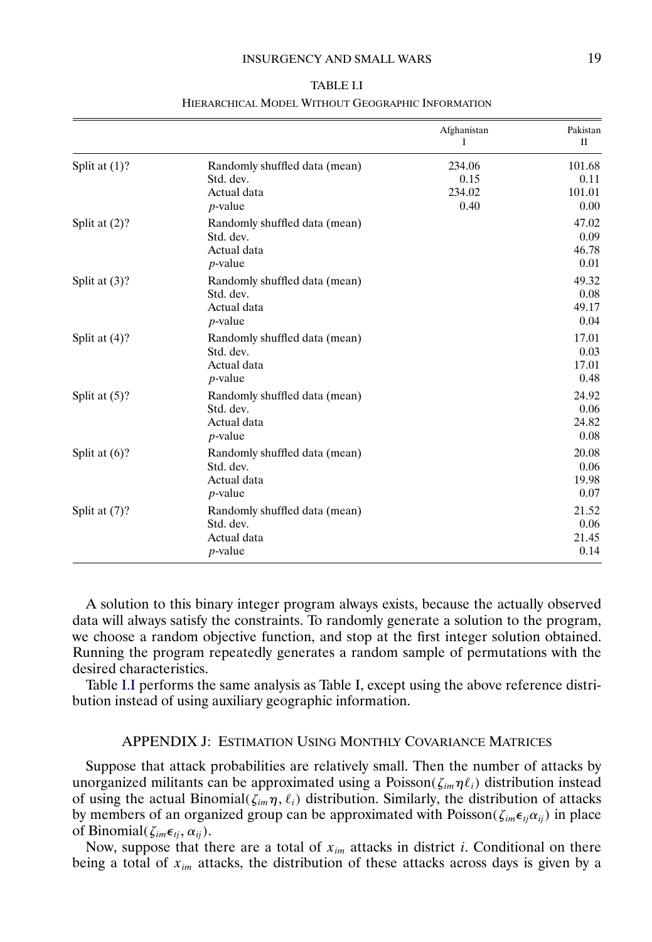#### INSURGENCY AND SMALL WARS 19

|                  |                                                                         | Afghanistan<br>I                 | Pakistan<br>П                    |
|------------------|-------------------------------------------------------------------------|----------------------------------|----------------------------------|
| Split at $(1)$ ? | Randomly shuffled data (mean)<br>Std. dev.<br>Actual data<br>$p$ -value | 234.06<br>0.15<br>234.02<br>0.40 | 101.68<br>0.11<br>101.01<br>0.00 |
| Split at $(2)?$  | Randomly shuffled data (mean)<br>Std. dev.<br>Actual data<br>$p$ -value |                                  | 47.02<br>0.09<br>46.78<br>0.01   |
| Split at $(3)$ ? | Randomly shuffled data (mean)<br>Std. dev.<br>Actual data<br>$p$ -value |                                  | 49.32<br>0.08<br>49.17<br>0.04   |
| Split at $(4)$ ? | Randomly shuffled data (mean)<br>Std. dev.<br>Actual data<br>$p$ -value |                                  | 17.01<br>0.03<br>17.01<br>0.48   |
| Split at $(5)$ ? | Randomly shuffled data (mean)<br>Std. dev.<br>Actual data<br>$p$ -value |                                  | 24.92<br>0.06<br>24.82<br>0.08   |
| Split at $(6)$ ? | Randomly shuffled data (mean)<br>Std. dev.<br>Actual data<br>$p$ -value |                                  | 20.08<br>0.06<br>19.98<br>0.07   |
| Split at $(7)$ ? | Randomly shuffled data (mean)<br>Std. dev.<br>Actual data<br>$p$ -value |                                  | 21.52<br>0.06<br>21.45<br>0.14   |

TABLE I.I HIERARCHICAL MODEL WITHOUT GEOGRAPHIC INFORMATION

A solution to this binary integer program always exists, because the actually observed data will always satisfy the constraints. To randomly generate a solution to the program, we choose a random objective function, and stop at the first integer solution obtained. Running the program repeatedly generates a random sample of permutations with the desired characteristics.

Table I.I performs the same analysis as Table I, except using the above reference distribution instead of using auxiliary geographic information.

# APPENDIX J: ESTIMATION USING MONTHLY COVARIANCE MATRICES

Suppose that attack probabilities are relatively small. Then the number of attacks by unorganized militants can be approximated using a Poisson( $\zeta_{im} \eta \ell_i$ ) distribution instead of using the actual Binomial( $\zeta_{im}\eta$ ,  $\ell_i$ ) distribution. Similarly, the distribution of attacks by members of an organized group can be approximated with Poisson( $\zeta_{im} \epsilon_{ij} \alpha_{ij}$ ) in place of Binomial( $\zeta_{im} \epsilon_{ij}, \alpha_{ij}$ ).

Now, suppose that there are a total of  $x_{im}$  attacks in district *i*. Conditional on there being a total of  $x_{im}$  attacks, the distribution of these attacks across days is given by a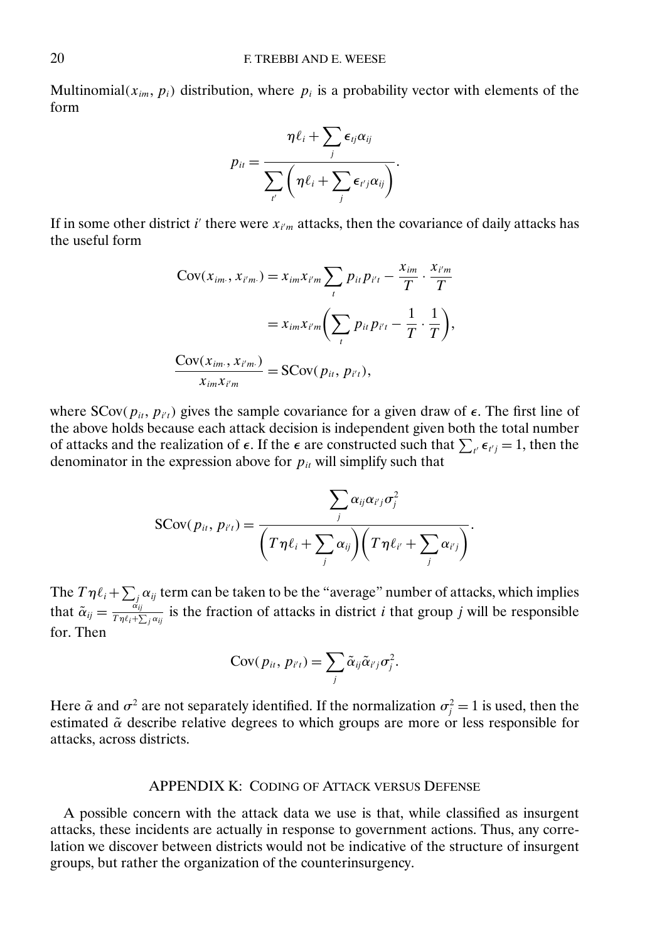Multinomial( $x_{im}$ ,  $p_i$ ) distribution, where  $p_i$  is a probability vector with elements of the form

$$
p_{it} = \frac{\eta \ell_i + \sum_j \epsilon_{ij} \alpha_{ij}}{\sum_{i'} \left(\eta \ell_i + \sum_j \epsilon_{i'j} \alpha_{ij}\right)}.
$$

If in some other district i' there were  $x_{i'm}$  attacks, then the covariance of daily attacks has the useful form

$$
Cov(x_{im.}, x_{i'm.}) = x_{im}x_{i'm} \sum_{t} p_{it}p_{i't} - \frac{x_{im}}{T} \cdot \frac{x_{i'm}}{T}
$$

$$
= x_{im}x_{i'm} \left(\sum_{t} p_{it}p_{i't} - \frac{1}{T} \cdot \frac{1}{T}\right),
$$

$$
\frac{Cov(x_{im.}, x_{i'm.})}{x_{im}x_{i'm}} = SCov(p_{it}, p_{i't}),
$$

where  $SCov(p_{it}, p_{it})$  gives the sample covariance for a given draw of  $\epsilon$ . The first line of the above holds because each attack decision is independent given both the total number of attacks and the realization of  $\epsilon$ . If the  $\epsilon$  are constructed such that  $\sum_{i'} \epsilon_{i'j} = 1$ , then the denominator in the expression above for  $p_{it}$  will simplify such that

$$
SCov(p_{it}, p_{it}) = \frac{\sum_j \alpha_{ij} \alpha_{i'j} \sigma_j^2}{\left(T\eta \ell_i + \sum_j \alpha_{ij}\right)\left(T\eta \ell_{i'} + \sum_j \alpha_{i'j}\right)}.
$$

The  $T \eta \ell_i + \sum_j \alpha_{ij}$  term can be taken to be the "average" number of attacks, which implies that  $\tilde{\alpha}_{ij} = \frac{\dot{\alpha}_{ij}}{T\eta \ell_i + \sum_j \alpha_{ij}}$  is the fraction of attacks in district *i* that group *j* will be responsible for. Then

$$
Cov(p_{it}, p_{i't}) = \sum_j \tilde{\alpha}_{ij} \tilde{\alpha}_{i'j} \sigma_j^2.
$$

Here  $\tilde{\alpha}$  and  $\sigma^2$  are not separately identified. If the normalization  $\sigma_j^2 = 1$  is used, then the estimated  $\tilde{\alpha}$  describe relative degrees to which groups are more or less responsible for attacks, across districts.

## APPENDIX K: CODING OF ATTACK VERSUS DEFENSE

A possible concern with the attack data we use is that, while classified as insurgent attacks, these incidents are actually in response to government actions. Thus, any correlation we discover between districts would not be indicative of the structure of insurgent groups, but rather the organization of the counterinsurgency.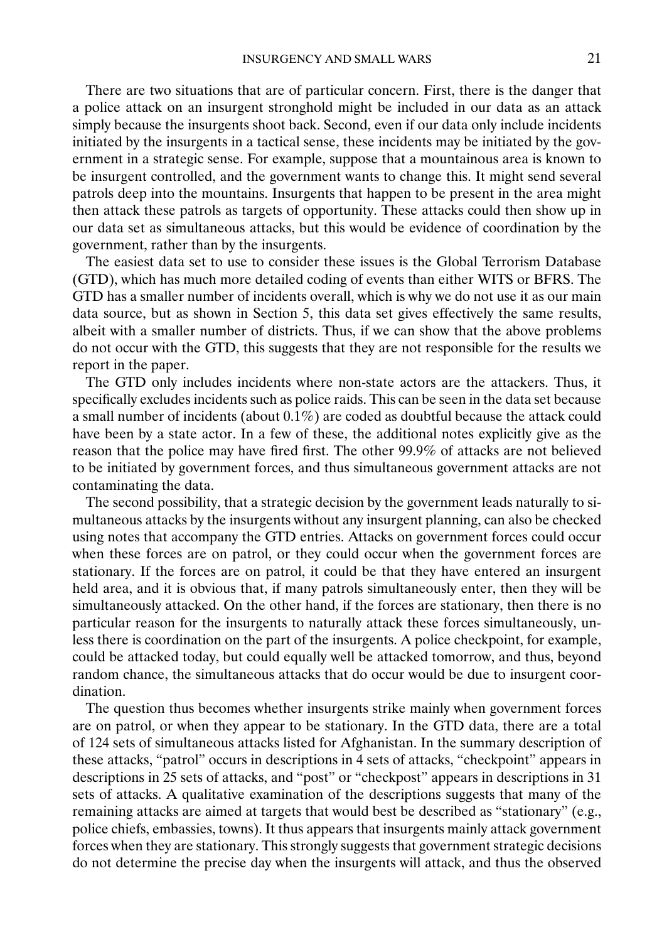There are two situations that are of particular concern. First, there is the danger that a police attack on an insurgent stronghold might be included in our data as an attack simply because the insurgents shoot back. Second, even if our data only include incidents initiated by the insurgents in a tactical sense, these incidents may be initiated by the government in a strategic sense. For example, suppose that a mountainous area is known to be insurgent controlled, and the government wants to change this. It might send several patrols deep into the mountains. Insurgents that happen to be present in the area might then attack these patrols as targets of opportunity. These attacks could then show up in our data set as simultaneous attacks, but this would be evidence of coordination by the government, rather than by the insurgents.

The easiest data set to use to consider these issues is the Global Terrorism Database (GTD), which has much more detailed coding of events than either WITS or BFRS. The GTD has a smaller number of incidents overall, which is why we do not use it as our main data source, but as shown in Section 5, this data set gives effectively the same results, albeit with a smaller number of districts. Thus, if we can show that the above problems do not occur with the GTD, this suggests that they are not responsible for the results we report in the paper.

The GTD only includes incidents where non-state actors are the attackers. Thus, it specifically excludes incidents such as police raids. This can be seen in the data set because a small number of incidents (about 0.1%) are coded as doubtful because the attack could have been by a state actor. In a few of these, the additional notes explicitly give as the reason that the police may have fired first. The other 99.9% of attacks are not believed to be initiated by government forces, and thus simultaneous government attacks are not contaminating the data.

The second possibility, that a strategic decision by the government leads naturally to simultaneous attacks by the insurgents without any insurgent planning, can also be checked using notes that accompany the GTD entries. Attacks on government forces could occur when these forces are on patrol, or they could occur when the government forces are stationary. If the forces are on patrol, it could be that they have entered an insurgent held area, and it is obvious that, if many patrols simultaneously enter, then they will be simultaneously attacked. On the other hand, if the forces are stationary, then there is no particular reason for the insurgents to naturally attack these forces simultaneously, unless there is coordination on the part of the insurgents. A police checkpoint, for example, could be attacked today, but could equally well be attacked tomorrow, and thus, beyond random chance, the simultaneous attacks that do occur would be due to insurgent coordination.

The question thus becomes whether insurgents strike mainly when government forces are on patrol, or when they appear to be stationary. In the GTD data, there are a total of 124 sets of simultaneous attacks listed for Afghanistan. In the summary description of these attacks, "patrol" occurs in descriptions in 4 sets of attacks, "checkpoint" appears in descriptions in 25 sets of attacks, and "post" or "checkpost" appears in descriptions in 31 sets of attacks. A qualitative examination of the descriptions suggests that many of the remaining attacks are aimed at targets that would best be described as "stationary" (e.g., police chiefs, embassies, towns). It thus appears that insurgents mainly attack government forces when they are stationary. This strongly suggests that government strategic decisions do not determine the precise day when the insurgents will attack, and thus the observed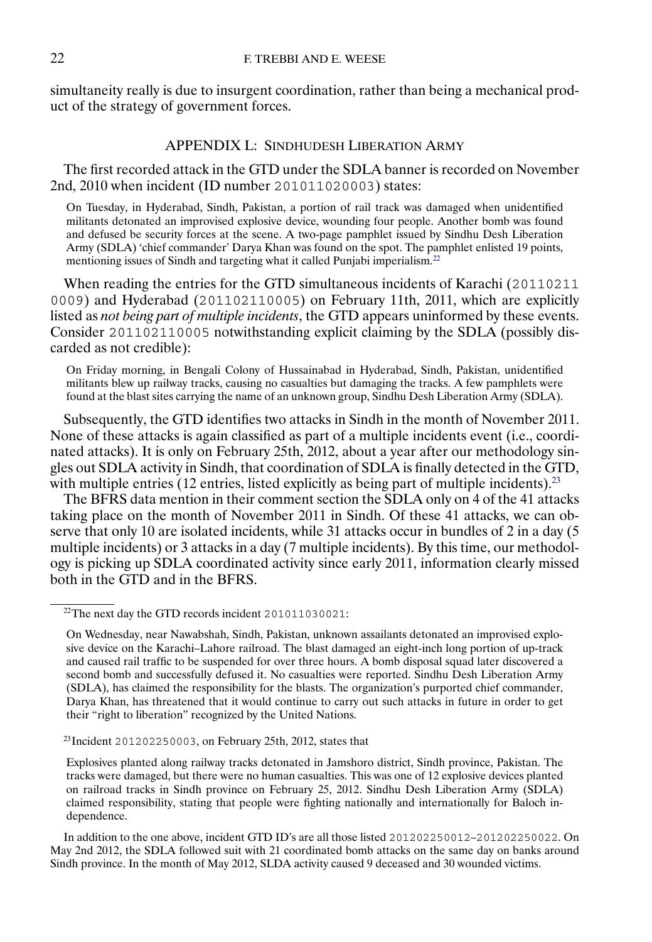simultaneity really is due to insurgent coordination, rather than being a mechanical product of the strategy of government forces.

# APPENDIX L: SINDHUDESH LIBERATION ARMY

The first recorded attack in the GTD under the SDLA banner is recorded on November 2nd, 2010 when incident (ID number 201011020003) states:

On Tuesday, in Hyderabad, Sindh, Pakistan, a portion of rail track was damaged when unidentified militants detonated an improvised explosive device, wounding four people. Another bomb was found and defused be security forces at the scene. A two-page pamphlet issued by Sindhu Desh Liberation Army (SDLA) 'chief commander' Darya Khan was found on the spot. The pamphlet enlisted 19 points, mentioning issues of Sindh and targeting what it called Punjabi imperialism.<sup>22</sup>

When reading the entries for the GTD simultaneous incidents of Karachi (20110211 0009) and Hyderabad (201102110005) on February 11th, 2011, which are explicitly listed as *not being part of multiple incidents*, the GTD appears uninformed by these events. Consider 201102110005 notwithstanding explicit claiming by the SDLA (possibly discarded as not credible):

On Friday morning, in Bengali Colony of Hussainabad in Hyderabad, Sindh, Pakistan, unidentified militants blew up railway tracks, causing no casualties but damaging the tracks. A few pamphlets were found at the blast sites carrying the name of an unknown group, Sindhu Desh Liberation Army (SDLA).

Subsequently, the GTD identifies two attacks in Sindh in the month of November 2011. None of these attacks is again classified as part of a multiple incidents event (i.e., coordinated attacks). It is only on February 25th, 2012, about a year after our methodology singles out SDLA activity in Sindh, that coordination of SDLA is finally detected in the GTD, with multiple entries  $(12 \text{ entries}, \text{listed explicitly as being part of multiple incidents})^{23}$ 

The BFRS data mention in their comment section the SDLA only on 4 of the 41 attacks taking place on the month of November 2011 in Sindh. Of these 41 attacks, we can observe that only 10 are isolated incidents, while 31 attacks occur in bundles of 2 in a day (5 multiple incidents) or 3 attacks in a day (7 multiple incidents). By this time, our methodology is picking up SDLA coordinated activity since early 2011, information clearly missed both in the GTD and in the BFRS.

<sup>&</sup>lt;sup>22</sup>The next day the GTD records incident 201011030021:

On Wednesday, near Nawabshah, Sindh, Pakistan, unknown assailants detonated an improvised explosive device on the Karachi–Lahore railroad. The blast damaged an eight-inch long portion of up-track and caused rail traffic to be suspended for over three hours. A bomb disposal squad later discovered a second bomb and successfully defused it. No casualties were reported. Sindhu Desh Liberation Army (SDLA), has claimed the responsibility for the blasts. The organization's purported chief commander, Darya Khan, has threatened that it would continue to carry out such attacks in future in order to get their "right to liberation" recognized by the United Nations.

<sup>&</sup>lt;sup>23</sup>Incident 201202250003, on February 25th, 2012, states that

Explosives planted along railway tracks detonated in Jamshoro district, Sindh province, Pakistan. The tracks were damaged, but there were no human casualties. This was one of 12 explosive devices planted on railroad tracks in Sindh province on February 25, 2012. Sindhu Desh Liberation Army (SDLA) claimed responsibility, stating that people were fighting nationally and internationally for Baloch independence.

In addition to the one above, incident GTD ID's are all those listed 201202250012–201202250022. On May 2nd 2012, the SDLA followed suit with 21 coordinated bomb attacks on the same day on banks around Sindh province. In the month of May 2012, SLDA activity caused 9 deceased and 30 wounded victims.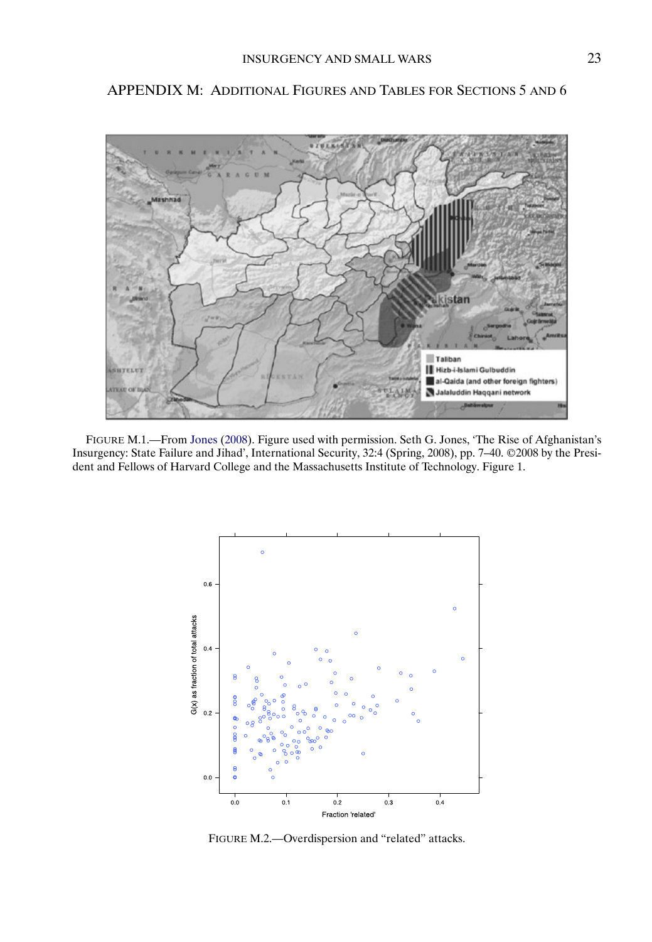# kistan Taliban Hizb-i-Islami Gulbuddin al-Qaida (and other foreign fighters) Jalaluddin Haqqani network

<span id="page-22-0"></span>APPENDIX M: ADDITIONAL FIGURES AND TABLES FOR SECTIONS 5 AND 6

FIGURE M.1.—From [Jones](#page-32-0) [\(2008\)](#page-32-0). Figure used with permission. Seth G. Jones, 'The Rise of Afghanistan's Insurgency: State Failure and Jihad', International Security, 32:4 (Spring, 2008), pp. 7–40. ©2008 by the President and Fellows of Harvard College and the Massachusetts Institute of Technology. Figure 1.



FIGURE M.2.—Overdispersion and "related" attacks.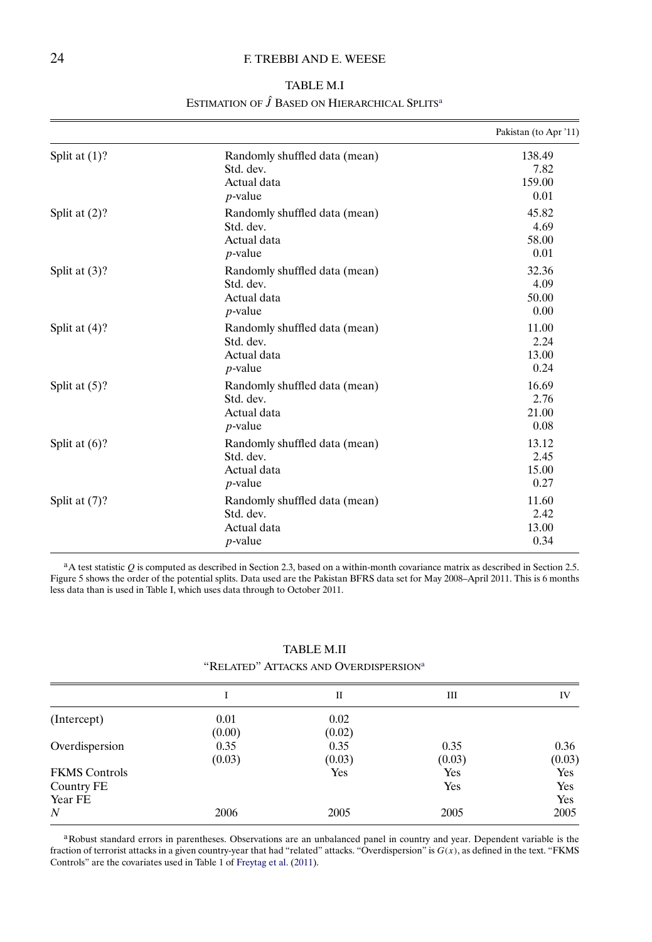# <span id="page-23-0"></span>24 **F. TREBBI AND E. WEESE**

| <b>TABLE M.I</b>                                          |  |
|-----------------------------------------------------------|--|
| ESTIMATION OF J BASED ON HIERARCHICAL SPLITS <sup>a</sup> |  |

|                  |                                                                         | Pakistan (to Apr '11)            |
|------------------|-------------------------------------------------------------------------|----------------------------------|
| Split at $(1)$ ? | Randomly shuffled data (mean)<br>Std. dev.<br>Actual data<br>$p$ -value | 138.49<br>7.82<br>159.00<br>0.01 |
| Split at $(2)$ ? | Randomly shuffled data (mean)<br>Std. dev.<br>Actual data<br>$p$ -value | 45.82<br>4.69<br>58.00<br>0.01   |
| Split at $(3)$ ? | Randomly shuffled data (mean)<br>Std. dev.<br>Actual data<br>$p$ -value | 32.36<br>4.09<br>50.00<br>0.00   |
| Split at $(4)$ ? | Randomly shuffled data (mean)<br>Std. dev.<br>Actual data<br>$p$ -value | 11.00<br>2.24<br>13.00<br>0.24   |
| Split at $(5)$ ? | Randomly shuffled data (mean)<br>Std. dev.<br>Actual data<br>$p$ -value | 16.69<br>2.76<br>21.00<br>0.08   |
| Split at $(6)$ ? | Randomly shuffled data (mean)<br>Std. dev.<br>Actual data<br>$p$ -value | 13.12<br>2.45<br>15.00<br>0.27   |
| Split at $(7)$ ? | Randomly shuffled data (mean)<br>Std. dev.<br>Actual data<br>$p$ -value | 11.60<br>2.42<br>13.00<br>0.34   |

 $a_A$  test statistic Q is computed as described in Section 2.3, based on a within-month covariance matrix as described in Section 2.5. Figure 5 shows the order of the potential splits. Data used are the Pakistan BFRS data set for May 2008–April 2011. This is 6 months less data than is used in Table I, which uses data through to October 2011.

#### TABLE M.II

"RELATED" ATTACKS AND OVERDISPERSION<sup>a</sup>

|                      |        | П      | Ш      | IV         |
|----------------------|--------|--------|--------|------------|
| (Intercept)          | 0.01   | 0.02   |        |            |
|                      | (0.00) | (0.02) |        |            |
| Overdispersion       | 0.35   | 0.35   | 0.35   | 0.36       |
|                      | (0.03) | (0.03) | (0.03) | (0.03)     |
| <b>FKMS</b> Controls |        | Yes    | Yes    | <b>Yes</b> |
| Country FE           |        |        | Yes    | Yes        |
| Year FE              |        |        |        | Yes        |
| N                    | 2006   | 2005   | 2005   | 2005       |

aRobust standard errors in parentheses. Observations are an unbalanced panel in country and year. Dependent variable is the fraction of terrorist attacks in a given country-year that had "related" attacks. "Overdispersion" is  $G(x)$ , as defined in the text. "FKMS Controls" are the covariates used in Table 1 of [Freytag et al.](#page-32-0) [\(2011\)](#page-32-0).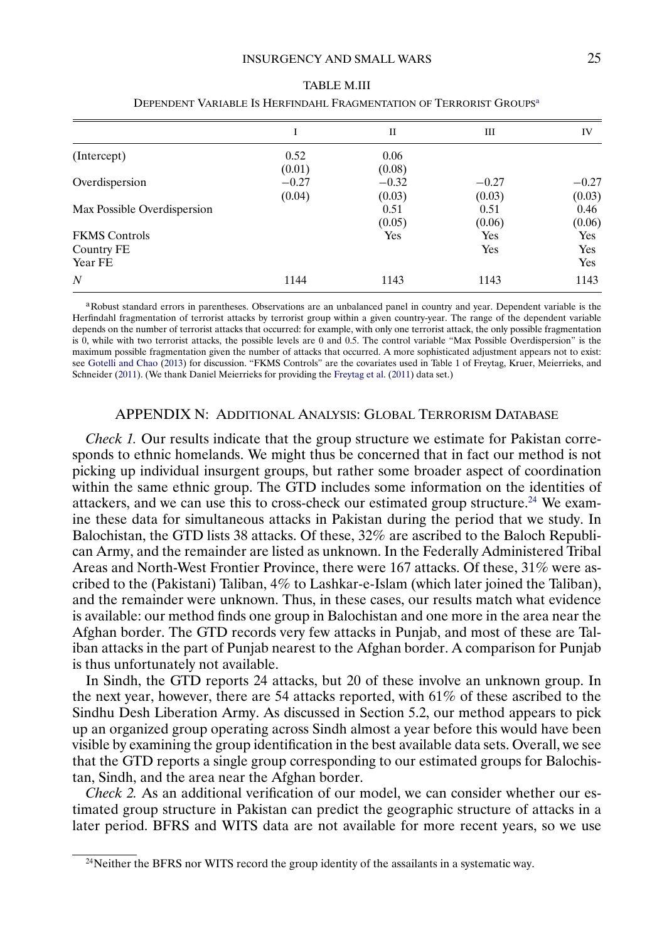<span id="page-24-0"></span>

|                             | I       | П       | Ш       | IV      |
|-----------------------------|---------|---------|---------|---------|
| (Intercept)                 | 0.52    | 0.06    |         |         |
|                             | (0.01)  | (0.08)  |         |         |
| Overdispersion              | $-0.27$ | $-0.32$ | $-0.27$ | $-0.27$ |
|                             | (0.04)  | (0.03)  | (0.03)  | (0.03)  |
| Max Possible Overdispersion |         | 0.51    | 0.51    | 0.46    |
|                             |         | (0.05)  | (0.06)  | (0.06)  |
| <b>FKMS</b> Controls        |         | Yes     | Yes     | Yes     |
| Country FE                  |         |         | Yes     | Yes     |
| Year FE                     |         |         |         | Yes     |
| $\overline{N}$              | 1144    | 1143    | 1143    | 1143    |
|                             |         |         |         |         |

| <b>TABLE M.III</b>                                                              |
|---------------------------------------------------------------------------------|
| Dependent Variable Is Herfindahl Fragmentation of Terrorist Groups <sup>a</sup> |

aRobust standard errors in parentheses. Observations are an unbalanced panel in country and year. Dependent variable is the Herfindahl fragmentation of terrorist attacks by terrorist group within a given country-year. The range of the dependent variable depends on the number of terrorist attacks that occurred: for example, with only one terrorist attack, the only possible fragmentation is 0, while with two terrorist attacks, the possible levels are 0 and 0.5. The control variable "Max Possible Overdispersion" is the maximum possible fragmentation given the number of attacks that occurred. A more sophisticated adjustment appears not to exist: see [Gotelli and Chao](#page-32-0) [\(2013\)](#page-32-0) for discussion. "FKMS Controls" are the covariates used in Table 1 of Freytag, Kruer, Meierrieks, and Schneider [\(2011\)](#page-32-0). (We thank Daniel Meierrieks for providing the [Freytag et al.](#page-32-0) [\(2011\)](#page-32-0) data set.)

#### APPENDIX N: ADDITIONAL ANALYSIS: GLOBAL TERRORISM DATABASE

*Check 1.* Our results indicate that the group structure we estimate for Pakistan corresponds to ethnic homelands. We might thus be concerned that in fact our method is not picking up individual insurgent groups, but rather some broader aspect of coordination within the same ethnic group. The GTD includes some information on the identities of attackers, and we can use this to cross-check our estimated group structure.<sup>24</sup> We examine these data for simultaneous attacks in Pakistan during the period that we study. In Balochistan, the GTD lists 38 attacks. Of these, 32% are ascribed to the Baloch Republican Army, and the remainder are listed as unknown. In the Federally Administered Tribal Areas and North-West Frontier Province, there were 167 attacks. Of these, 31% were ascribed to the (Pakistani) Taliban, 4% to Lashkar-e-Islam (which later joined the Taliban), and the remainder were unknown. Thus, in these cases, our results match what evidence is available: our method finds one group in Balochistan and one more in the area near the Afghan border. The GTD records very few attacks in Punjab, and most of these are Taliban attacks in the part of Punjab nearest to the Afghan border. A comparison for Punjab is thus unfortunately not available.

In Sindh, the GTD reports 24 attacks, but 20 of these involve an unknown group. In the next year, however, there are 54 attacks reported, with 61% of these ascribed to the Sindhu Desh Liberation Army. As discussed in Section 5.2, our method appears to pick up an organized group operating across Sindh almost a year before this would have been visible by examining the group identification in the best available data sets. Overall, we see that the GTD reports a single group corresponding to our estimated groups for Balochistan, Sindh, and the area near the Afghan border.

*Check 2.* As an additional verification of our model, we can consider whether our estimated group structure in Pakistan can predict the geographic structure of attacks in a later period. BFRS and WITS data are not available for more recent years, so we use

<sup>&</sup>lt;sup>24</sup>Neither the BFRS nor WITS record the group identity of the assailants in a systematic way.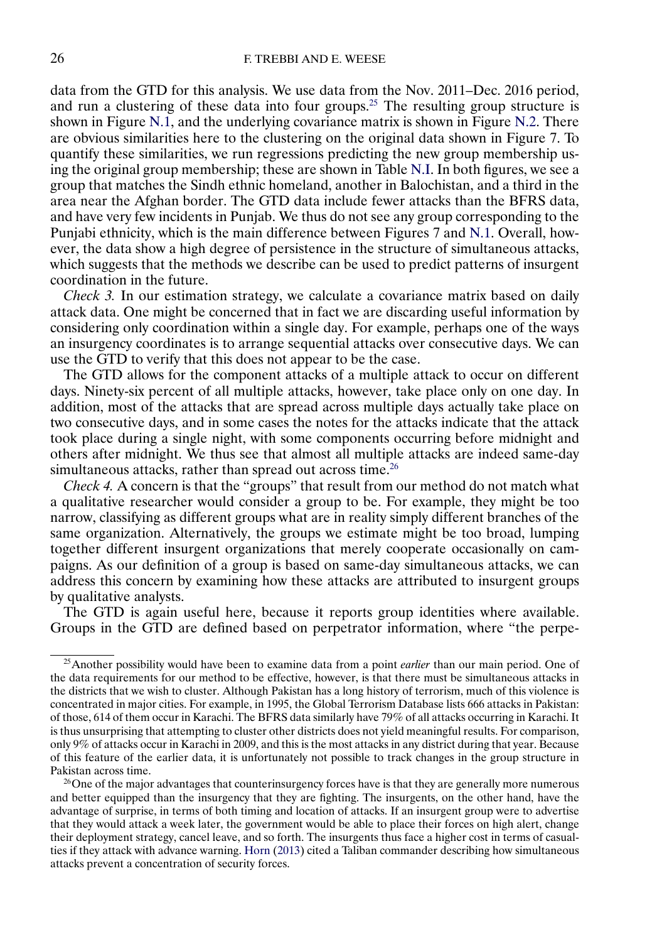<span id="page-25-0"></span>data from the GTD for this analysis. We use data from the Nov. 2011–Dec. 2016 period, and run a clustering of these data into four groups.<sup>25</sup> The resulting group structure is shown in Figure [N.1,](#page-26-0) and the underlying covariance matrix is shown in Figure [N.2.](#page-26-0) There are obvious similarities here to the clustering on the original data shown in Figure 7. To quantify these similarities, we run regressions predicting the new group membership using the original group membership; these are shown in Table [N.I.](#page-27-0) In both figures, we see a group that matches the Sindh ethnic homeland, another in Balochistan, and a third in the area near the Afghan border. The GTD data include fewer attacks than the BFRS data, and have very few incidents in Punjab. We thus do not see any group corresponding to the Punjabi ethnicity, which is the main difference between Figures 7 and [N.1.](#page-26-0) Overall, however, the data show a high degree of persistence in the structure of simultaneous attacks, which suggests that the methods we describe can be used to predict patterns of insurgent coordination in the future.

*Check 3.* In our estimation strategy, we calculate a covariance matrix based on daily attack data. One might be concerned that in fact we are discarding useful information by considering only coordination within a single day. For example, perhaps one of the ways an insurgency coordinates is to arrange sequential attacks over consecutive days. We can use the GTD to verify that this does not appear to be the case.

The GTD allows for the component attacks of a multiple attack to occur on different days. Ninety-six percent of all multiple attacks, however, take place only on one day. In addition, most of the attacks that are spread across multiple days actually take place on two consecutive days, and in some cases the notes for the attacks indicate that the attack took place during a single night, with some components occurring before midnight and others after midnight. We thus see that almost all multiple attacks are indeed same-day simultaneous attacks, rather than spread out across time.<sup>26</sup>

*Check 4.* A concern is that the "groups" that result from our method do not match what a qualitative researcher would consider a group to be. For example, they might be too narrow, classifying as different groups what are in reality simply different branches of the same organization. Alternatively, the groups we estimate might be too broad, lumping together different insurgent organizations that merely cooperate occasionally on campaigns. As our definition of a group is based on same-day simultaneous attacks, we can address this concern by examining how these attacks are attributed to insurgent groups by qualitative analysts.

The GTD is again useful here, because it reports group identities where available. Groups in the GTD are defined based on perpetrator information, where "the perpe-

 $^{26}$ One of the major advantages that counterinsurgency forces have is that they are generally more numerous and better equipped than the insurgency that they are fighting. The insurgents, on the other hand, have the advantage of surprise, in terms of both timing and location of attacks. If an insurgent group were to advertise that they would attack a week later, the government would be able to place their forces on high alert, change their deployment strategy, cancel leave, and so forth. The insurgents thus face a higher cost in terms of casualties if they attack with advance warning. [Horn](#page-32-0) [\(2013\)](#page-32-0) cited a Taliban commander describing how simultaneous attacks prevent a concentration of security forces.

<sup>25</sup>Another possibility would have been to examine data from a point *earlier* than our main period. One of the data requirements for our method to be effective, however, is that there must be simultaneous attacks in the districts that we wish to cluster. Although Pakistan has a long history of terrorism, much of this violence is concentrated in major cities. For example, in 1995, the Global Terrorism Database lists 666 attacks in Pakistan: of those, 614 of them occur in Karachi. The BFRS data similarly have 79% of all attacks occurring in Karachi. It is thus unsurprising that attempting to cluster other districts does not yield meaningful results. For comparison, only 9% of attacks occur in Karachi in 2009, and this is the most attacks in any district during that year. Because of this feature of the earlier data, it is unfortunately not possible to track changes in the group structure in Pakistan across time.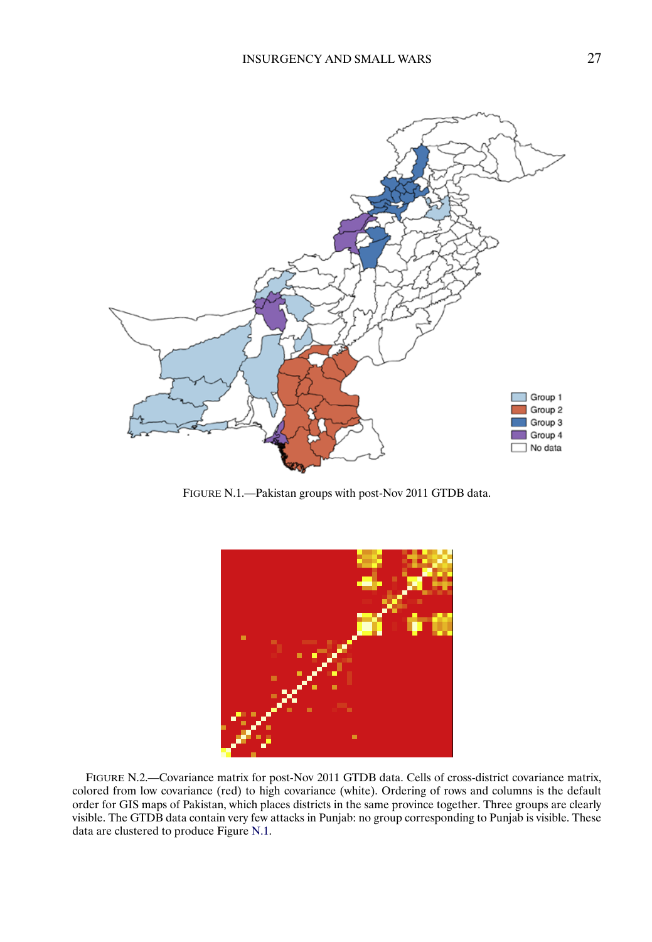<span id="page-26-0"></span>

FIGURE N.1.—Pakistan groups with post-Nov 2011 GTDB data.



FIGURE N.2.—Covariance matrix for post-Nov 2011 GTDB data. Cells of cross-district covariance matrix, colored from low covariance (red) to high covariance (white). Ordering of rows and columns is the default order for GIS maps of Pakistan, which places districts in the same province together. Three groups are clearly visible. The GTDB data contain very few attacks in Punjab: no group corresponding to Punjab is visible. These data are clustered to produce Figure N.1.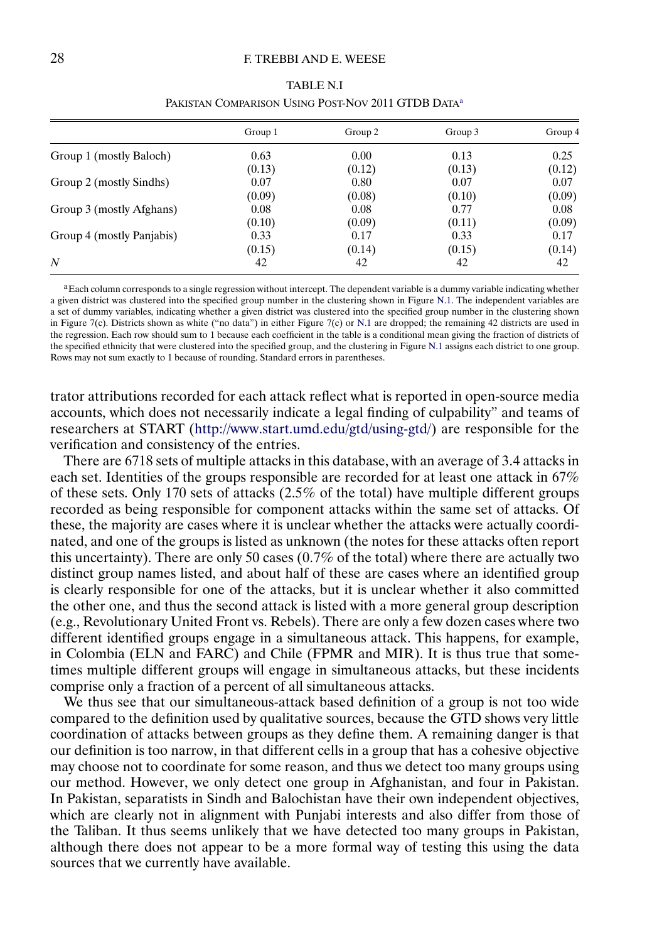#### <span id="page-27-0"></span>28 **F. TREBBI AND E. WEESE**

|                           | Group 1 | Group 2 | Group 3 | Group 4 |
|---------------------------|---------|---------|---------|---------|
| Group 1 (mostly Baloch)   | 0.63    | 0.00    | 0.13    | 0.25    |
|                           | (0.13)  | (0.12)  | (0.13)  | (0.12)  |
| Group 2 (mostly Sindhs)   | 0.07    | 0.80    | 0.07    | 0.07    |
|                           | (0.09)  | (0.08)  | (0.10)  | (0.09)  |
| Group 3 (mostly Afghans)  | 0.08    | 0.08    | 0.77    | 0.08    |
|                           | (0.10)  | (0.09)  | (0.11)  | (0.09)  |
| Group 4 (mostly Panjabis) | 0.33    | 0.17    | 0.33    | 0.17    |
|                           | (0.15)  | (0.14)  | (0.15)  | (0.14)  |
| N                         | 42      | 42      | 42      | 42      |

| TABLE N.I                                                      |
|----------------------------------------------------------------|
| PAKISTAN COMPARISON USING POST-NOV 2011 GTDB DATA <sup>a</sup> |

<sup>a</sup>Each column corresponds to a single regression without intercept. The dependent variable is a dummy variable indicating whether a given district was clustered into the specified group number in the clustering shown in Figure [N.1.](#page-26-0) The independent variables are a set of dummy variables, indicating whether a given district was clustered into the specified group number in the clustering shown in Figure 7(c). Districts shown as white ("no data") in either Figure 7(c) or [N.1](#page-26-0) are dropped; the remaining 42 districts are used in the regression. Each row should sum to 1 because each coefficient in the table is a conditional mean giving the fraction of districts of the specified ethnicity that were clustered into the specified group, and the clustering in Figure [N.1](#page-26-0) assigns each district to one group. Rows may not sum exactly to 1 because of rounding. Standard errors in parentheses.

trator attributions recorded for each attack reflect what is reported in open-source media accounts, which does not necessarily indicate a legal finding of culpability" and teams of researchers at START [\(http://www.start.umd.edu/gtd/using-gtd/\)](http://www.start.umd.edu/gtd/using-gtd/) are responsible for the verification and consistency of the entries.

There are 6718 sets of multiple attacks in this database, with an average of 34 attacks in each set. Identities of the groups responsible are recorded for at least one attack in 67% of these sets. Only 170 sets of attacks (25% of the total) have multiple different groups recorded as being responsible for component attacks within the same set of attacks. Of these, the majority are cases where it is unclear whether the attacks were actually coordinated, and one of the groups is listed as unknown (the notes for these attacks often report this uncertainty). There are only 50 cases  $(0.7\%$  of the total) where there are actually two distinct group names listed, and about half of these are cases where an identified group is clearly responsible for one of the attacks, but it is unclear whether it also committed the other one, and thus the second attack is listed with a more general group description (e.g., Revolutionary United Front vs. Rebels). There are only a few dozen cases where two different identified groups engage in a simultaneous attack. This happens, for example, in Colombia (ELN and FARC) and Chile (FPMR and MIR). It is thus true that sometimes multiple different groups will engage in simultaneous attacks, but these incidents comprise only a fraction of a percent of all simultaneous attacks.

We thus see that our simultaneous-attack based definition of a group is not too wide compared to the definition used by qualitative sources, because the GTD shows very little coordination of attacks between groups as they define them. A remaining danger is that our definition is too narrow, in that different cells in a group that has a cohesive objective may choose not to coordinate for some reason, and thus we detect too many groups using our method. However, we only detect one group in Afghanistan, and four in Pakistan. In Pakistan, separatists in Sindh and Balochistan have their own independent objectives, which are clearly not in alignment with Punjabi interests and also differ from those of the Taliban. It thus seems unlikely that we have detected too many groups in Pakistan, although there does not appear to be a more formal way of testing this using the data sources that we currently have available.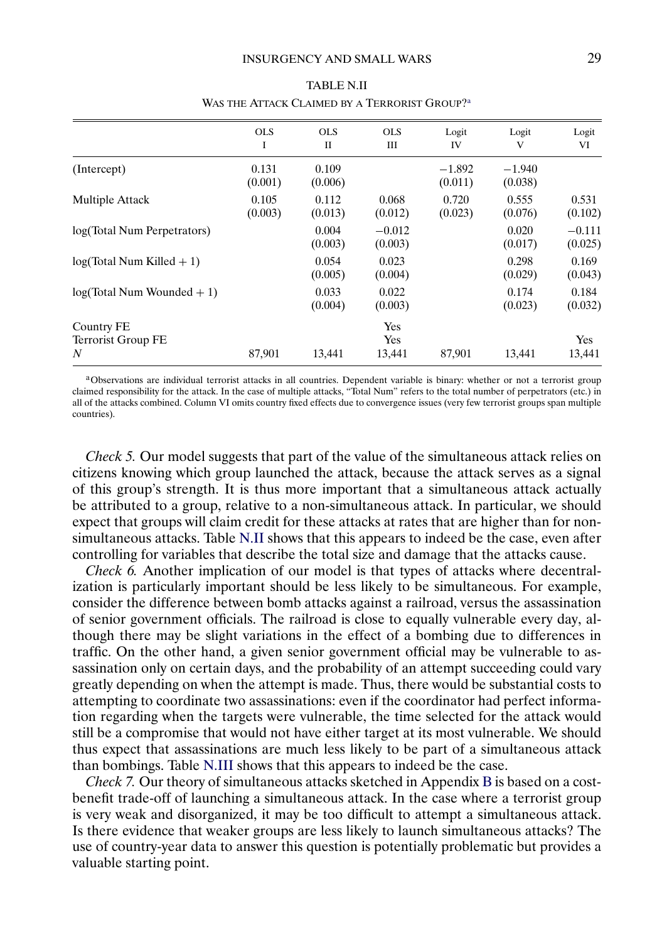|                                       | <b>OLS</b><br>I  | <b>OLS</b><br>П  | <b>OLS</b><br>Ш      | Logit<br>IV         | Logit<br>V          | Logit<br>VI         |
|---------------------------------------|------------------|------------------|----------------------|---------------------|---------------------|---------------------|
| (Intercept)                           | 0.131<br>(0.001) | 0.109<br>(0.006) |                      | $-1.892$<br>(0.011) | $-1.940$<br>(0.038) |                     |
| Multiple Attack                       | 0.105<br>(0.003) | 0.112<br>(0.013) | 0.068<br>(0.012)     | 0.720<br>(0.023)    | 0.555<br>(0.076)    | 0.531<br>(0.102)    |
| log(Total Num Perpetrators)           |                  | 0.004<br>(0.003) | $-0.012$<br>(0.003)  |                     | 0.020<br>(0.017)    | $-0.111$<br>(0.025) |
| $log(Total Num$ Killed $+1)$          |                  | 0.054<br>(0.005) | 0.023<br>(0.004)     |                     | 0.298<br>(0.029)    | 0.169<br>(0.043)    |
| $log(Total Num Wounded + 1)$          |                  | 0.033<br>(0.004) | 0.022<br>(0.003)     |                     | 0.174<br>(0.023)    | 0.184<br>(0.032)    |
| Country FE<br>Terrorist Group FE<br>N | 87,901           | 13,441           | Yes<br>Yes<br>13,441 | 87,901              | 13,441              | Yes<br>13,441       |

TABLE N.II WAS THE ATTACK CLAIMED BY A TERRORIST GROUP?<sup>a</sup>

aObservations are individual terrorist attacks in all countries. Dependent variable is binary: whether or not a terrorist group claimed responsibility for the attack. In the case of multiple attacks, "Total Num" refers to the total number of perpetrators (etc.) in all of the attacks combined. Column VI omits country fixed effects due to convergence issues (very few terrorist groups span multiple countries).

*Check 5.* Our model suggests that part of the value of the simultaneous attack relies on citizens knowing which group launched the attack, because the attack serves as a signal of this group's strength. It is thus more important that a simultaneous attack actually be attributed to a group, relative to a non-simultaneous attack. In particular, we should expect that groups will claim credit for these attacks at rates that are higher than for nonsimultaneous attacks. Table N.II shows that this appears to indeed be the case, even after controlling for variables that describe the total size and damage that the attacks cause.

*Check 6.* Another implication of our model is that types of attacks where decentralization is particularly important should be less likely to be simultaneous. For example, consider the difference between bomb attacks against a railroad, versus the assassination of senior government officials. The railroad is close to equally vulnerable every day, although there may be slight variations in the effect of a bombing due to differences in traffic. On the other hand, a given senior government official may be vulnerable to assassination only on certain days, and the probability of an attempt succeeding could vary greatly depending on when the attempt is made. Thus, there would be substantial costs to attempting to coordinate two assassinations: even if the coordinator had perfect information regarding when the targets were vulnerable, the time selected for the attack would still be a compromise that would not have either target at its most vulnerable. We should thus expect that assassinations are much less likely to be part of a simultaneous attack than bombings. Table [N.III](#page-29-0) shows that this appears to indeed be the case.

*Check 7.* Our theory of simultaneous attacks sketched in Appendix [B](#page-2-0) is based on a costbenefit trade-off of launching a simultaneous attack. In the case where a terrorist group is very weak and disorganized, it may be too difficult to attempt a simultaneous attack. Is there evidence that weaker groups are less likely to launch simultaneous attacks? The use of country-year data to answer this question is potentially problematic but provides a valuable starting point.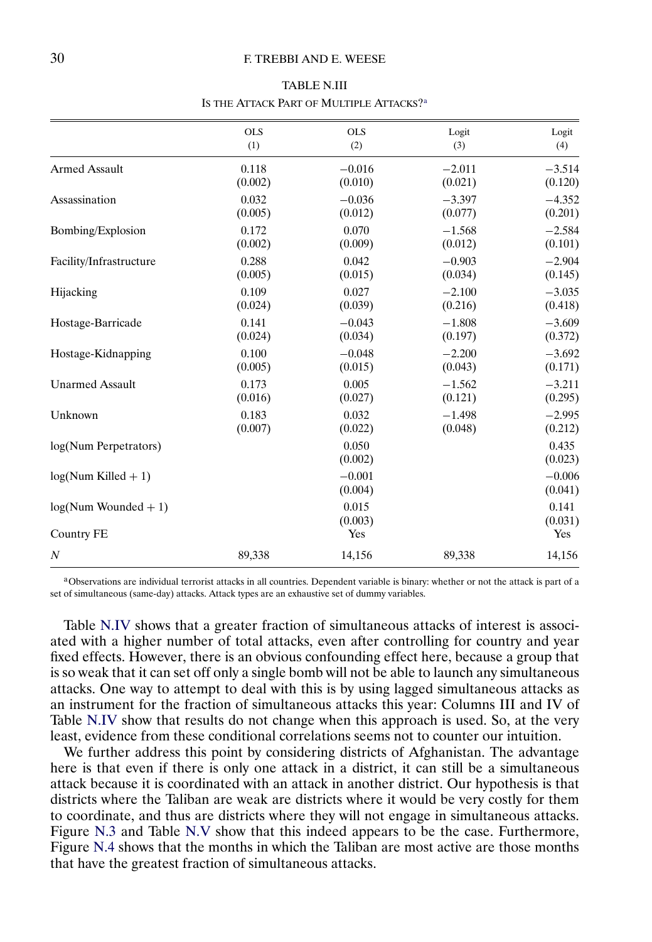#### <span id="page-29-0"></span>30 F. TREBBI AND E. WEESE

| <b>TABLE N.III</b>                       |
|------------------------------------------|
| Is the Attack Part of Multiple Attacks?ª |

|                         | <b>OLS</b> | <b>OLS</b>          | Logit    | Logit               |
|-------------------------|------------|---------------------|----------|---------------------|
|                         | (1)        | (2)                 | (3)      | (4)                 |
| <b>Armed Assault</b>    | 0.118      | $-0.016$            | $-2.011$ | $-3.514$            |
|                         | (0.002)    | (0.010)             | (0.021)  | (0.120)             |
| Assassination           | 0.032      | $-0.036$            | $-3.397$ | $-4.352$            |
|                         | (0.005)    | (0.012)             | (0.077)  | (0.201)             |
| Bombing/Explosion       | 0.172      | 0.070               | $-1.568$ | $-2.584$            |
|                         | (0.002)    | (0.009)             | (0.012)  | (0.101)             |
| Facility/Infrastructure | 0.288      | 0.042               | $-0.903$ | $-2.904$            |
|                         | (0.005)    | (0.015)             | (0.034)  | (0.145)             |
| Hijacking               | 0.109      | 0.027               | $-2.100$ | $-3.035$            |
|                         | (0.024)    | (0.039)             | (0.216)  | (0.418)             |
| Hostage-Barricade       | 0.141      | $-0.043$            | $-1.808$ | $-3.609$            |
|                         | (0.024)    | (0.034)             | (0.197)  | (0.372)             |
| Hostage-Kidnapping      | 0.100      | $-0.048$            | $-2.200$ | $-3.692$            |
|                         | (0.005)    | (0.015)             | (0.043)  | (0.171)             |
| <b>Unarmed Assault</b>  | 0.173      | 0.005               | $-1.562$ | $-3.211$            |
|                         | (0.016)    | (0.027)             | (0.121)  | (0.295)             |
| Unknown                 | 0.183      | 0.032               | $-1.498$ | $-2.995$            |
|                         | (0.007)    | (0.022)             | (0.048)  | (0.212)             |
| log(Num Perpetrators)   |            | 0.050<br>(0.002)    |          | 0.435<br>(0.023)    |
| $log(Num$ Killed $+1)$  |            | $-0.001$<br>(0.004) |          | $-0.006$<br>(0.041) |
| $log(Num Wounded + 1)$  |            | 0.015<br>(0.003)    |          | 0.141<br>(0.031)    |
| Country FE              |            | Yes                 |          | Yes                 |
| $\boldsymbol{N}$        | 89,338     | 14,156              | 89,338   | 14,156              |

aObservations are individual terrorist attacks in all countries. Dependent variable is binary: whether or not the attack is part of a set of simultaneous (same-day) attacks. Attack types are an exhaustive set of dummy variables.

Table [N.IV](#page-30-0) shows that a greater fraction of simultaneous attacks of interest is associated with a higher number of total attacks, even after controlling for country and year fixed effects. However, there is an obvious confounding effect here, because a group that is so weak that it can set off only a single bomb will not be able to launch any simultaneous attacks. One way to attempt to deal with this is by using lagged simultaneous attacks as an instrument for the fraction of simultaneous attacks this year: Columns III and IV of Table [N.IV](#page-30-0) show that results do not change when this approach is used. So, at the very least, evidence from these conditional correlations seems not to counter our intuition.

We further address this point by considering districts of Afghanistan. The advantage here is that even if there is only one attack in a district, it can still be a simultaneous attack because it is coordinated with an attack in another district. Our hypothesis is that districts where the Taliban are weak are districts where it would be very costly for them to coordinate, and thus are districts where they will not engage in simultaneous attacks. Figure [N.3](#page-30-0) and Table [N.V](#page-31-0) show that this indeed appears to be the case. Furthermore, Figure [N.4](#page-31-0) shows that the months in which the Taliban are most active are those months that have the greatest fraction of simultaneous attacks.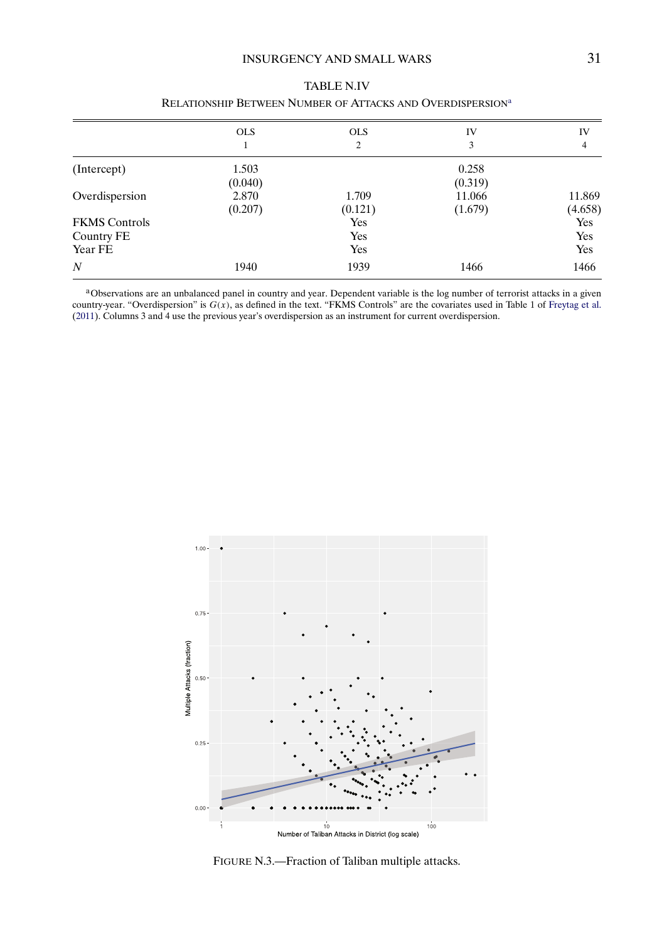# INSURGENCY AND SMALL WARS 31

<span id="page-30-0"></span>

|                      | <b>OLS</b> | <b>OLS</b> | IV      | IV      |
|----------------------|------------|------------|---------|---------|
|                      |            | 2          | 3       | 4       |
| (Intercept)          | 1.503      |            | 0.258   |         |
|                      | (0.040)    |            | (0.319) |         |
| Overdispersion       | 2.870      | 1.709      | 11.066  | 11.869  |
|                      | (0.207)    | (0.121)    | (1.679) | (4.658) |
| <b>FKMS</b> Controls |            | Yes        |         | Yes     |
| Country FE           |            | Yes        |         | Yes     |
| Year FE              |            | Yes        |         | Yes     |
| $\boldsymbol{N}$     | 1940       | 1939       | 1466    | 1466    |

# TABLE N.IV RELATIONSHIP BETWEEN NUMBER OF ATTACKS AND OVERDISPERSION<sup>a</sup>

a Observations are an unbalanced panel in country and year. Dependent variable is the log number of terrorist attacks in a given country-year. "Overdispersion" is  $G(x)$ , as defined in the text. "FKMS Controls" are the covariates used in Table 1 of [Freytag et al.](#page-32-0) [\(2011\)](#page-32-0). Columns 3 and 4 use the previous year's overdispersion as an instrument for current overdispersion.



FIGURE N.3.—Fraction of Taliban multiple attacks.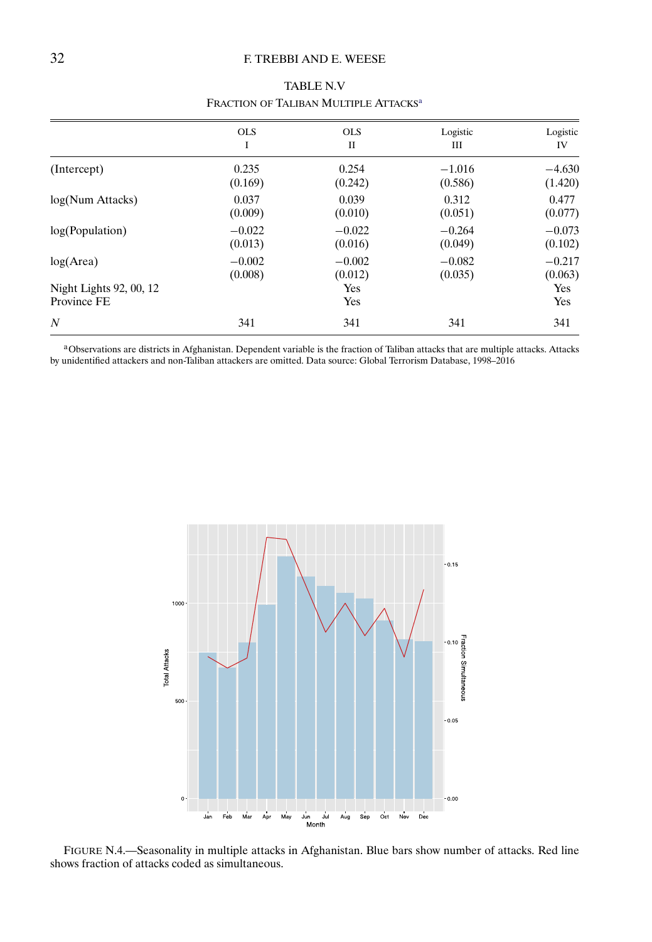# <span id="page-31-0"></span>32 F. TREBBI AND E. WEESE

|                                        | <b>OLS</b> | <b>OLS</b> | Logistic | Logistic   |
|----------------------------------------|------------|------------|----------|------------|
|                                        | Ι          | П          | Ш        | IV         |
| (Intercept)                            | 0.235      | 0.254      | $-1.016$ | $-4.630$   |
|                                        | (0.169)    | (0.242)    | (0.586)  | (1.420)    |
| log(Num Attacks)                       | 0.037      | 0.039      | 0.312    | 0.477      |
|                                        | (0.009)    | (0.010)    | (0.051)  | (0.077)    |
| log(Population)                        | $-0.022$   | $-0.022$   | $-0.264$ | $-0.073$   |
|                                        | (0.013)    | (0.016)    | (0.049)  | (0.102)    |
| log(Area)                              | $-0.002$   | $-0.002$   | $-0.082$ | $-0.217$   |
|                                        | (0.008)    | (0.012)    | (0.035)  | (0.063)    |
| Night Lights 92, 00, 12<br>Province FE |            | Yes<br>Yes |          | Yes<br>Yes |
| $\overline{N}$                         | 341        | 341        | 341      | 341        |

TABLE N.V FRACTION OF TALIBAN MULTIPLE ATTACKS<sup>a</sup>

aObservations are districts in Afghanistan. Dependent variable is the fraction of Taliban attacks that are multiple attacks. Attacks by unidentified attackers and non-Taliban attackers are omitted. Data source: Global Terrorism Database, 1998–2016



FIGURE N.4.—Seasonality in multiple attacks in Afghanistan. Blue bars show number of attacks. Red line shows fraction of attacks coded as simultaneous.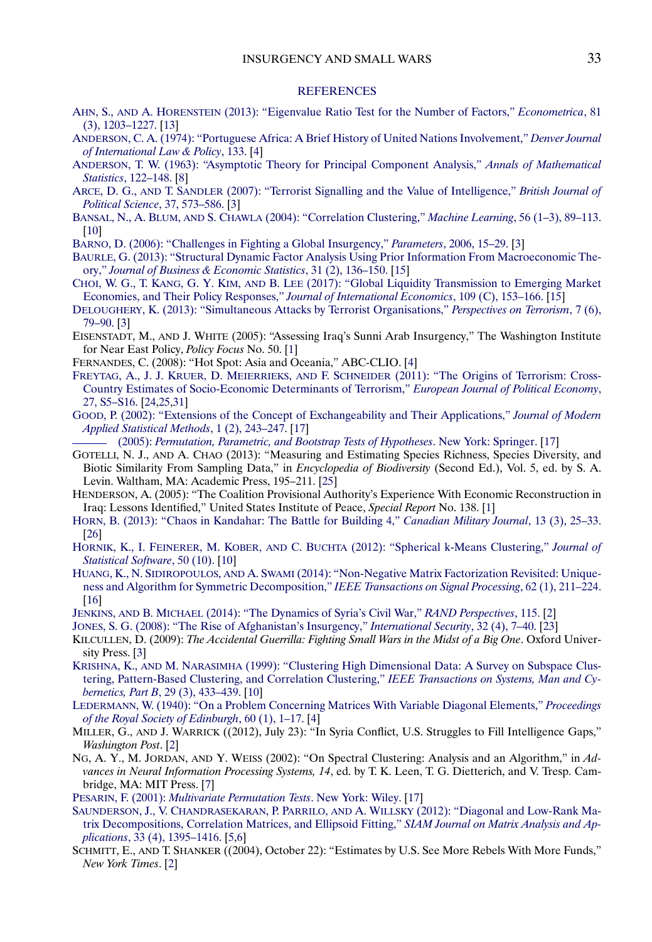#### **[REFERENCES](http://www.e-publications.org/srv/ecta/linkserver/setprefs?rfe_id=urn:sici%2F0012-9682%28201903%2987%3A2%2B%3C1%3ASTIASW%3E2.0.CO%3B2-A)**

- <span id="page-32-0"></span>AHN, S., AND A. HORENSTEIN [\(2013\): "Eigenvalue Ratio Test for the Number of Factors,"](http://www.e-publications.org/srv/ecta/linkserver/openurl?rft_dat=bib:1/ahn2013&rfe_id=urn:sici%2F0012-9682%28201903%2987%3A2%2B%3C1%3ASTIASW%3E2.0.CO%3B2-A) *Econometrica*, 81 [\(3\), 1203–1227.](http://www.e-publications.org/srv/ecta/linkserver/openurl?rft_dat=bib:1/ahn2013&rfe_id=urn:sici%2F0012-9682%28201903%2987%3A2%2B%3C1%3ASTIASW%3E2.0.CO%3B2-A) [\[13\]](#page-12-0)
- [ANDERSON, C. A. \(1974\): "Portuguese Africa: A Brief History of United Nations Involvement,"](http://www.e-publications.org/srv/ecta/linkserver/openurl?rft_dat=bib:2/anderson1974&rfe_id=urn:sici%2F0012-9682%28201903%2987%3A2%2B%3C1%3ASTIASW%3E2.0.CO%3B2-A) *Denver Journal [of International Law & Policy](http://www.e-publications.org/srv/ecta/linkserver/openurl?rft_dat=bib:2/anderson1974&rfe_id=urn:sici%2F0012-9682%28201903%2987%3A2%2B%3C1%3ASTIASW%3E2.0.CO%3B2-A)*, 133. [\[4\]](#page-3-0)
- [ANDERSON, T. W. \(1963\): "Asymptotic Theory for Principal Component Analysis,"](http://www.e-publications.org/srv/ecta/linkserver/openurl?rft_dat=bib:3/anderson1963&rfe_id=urn:sici%2F0012-9682%28201903%2987%3A2%2B%3C1%3ASTIASW%3E2.0.CO%3B2-A) *Annals of Mathematical Statistics*[, 122–148.](http://www.e-publications.org/srv/ecta/linkserver/openurl?rft_dat=bib:3/anderson1963&rfe_id=urn:sici%2F0012-9682%28201903%2987%3A2%2B%3C1%3ASTIASW%3E2.0.CO%3B2-A) [\[8\]](#page-7-0)
- ARCE, D. G., AND T. SANDLER [\(2007\): "Terrorist Signalling and the Value of Intelligence,"](http://www.e-publications.org/srv/ecta/linkserver/openurl?rft_dat=bib:4/arce2007&rfe_id=urn:sici%2F0012-9682%28201903%2987%3A2%2B%3C1%3ASTIASW%3E2.0.CO%3B2-A) *British Journal of [Political Science](http://www.e-publications.org/srv/ecta/linkserver/openurl?rft_dat=bib:4/arce2007&rfe_id=urn:sici%2F0012-9682%28201903%2987%3A2%2B%3C1%3ASTIASW%3E2.0.CO%3B2-A)*, 37, 573–586. [\[3\]](#page-2-0)
- BANSAL, N., A. BLUM, AND S. CHAWLA [\(2004\): "Correlation Clustering,"](http://www.e-publications.org/srv/ecta/linkserver/openurl?rft_dat=bib:5/bansal2004&rfe_id=urn:sici%2F0012-9682%28201903%2987%3A2%2B%3C1%3ASTIASW%3E2.0.CO%3B2-A) *Machine Learning*, 56 (1–3), 89–113. [\[10\]](#page-9-0)
- [BARNO, D. \(2006\): "Challenges in Fighting a Global Insurgency,"](http://www.e-publications.org/srv/ecta/linkserver/openurl?rft_dat=bib:6/barno2006&rfe_id=urn:sici%2F0012-9682%28201903%2987%3A2%2B%3C1%3ASTIASW%3E2.0.CO%3B2-A) *Parameters*, 2006, 15–29. [\[3\]](#page-2-0)
- [BAURLE, G. \(2013\): "Structural Dynamic Factor Analysis Using Prior Information From Macroeconomic The](http://www.e-publications.org/srv/ecta/linkserver/openurl?rft_dat=bib:7/baurle2013&rfe_id=urn:sici%2F0012-9682%28201903%2987%3A2%2B%3C1%3ASTIASW%3E2.0.CO%3B2-A)ory," *[Journal of Business & Economic Statistics](http://www.e-publications.org/srv/ecta/linkserver/openurl?rft_dat=bib:7/baurle2013&rfe_id=urn:sici%2F0012-9682%28201903%2987%3A2%2B%3C1%3ASTIASW%3E2.0.CO%3B2-A)*, 31 (2), 136–150. [\[15\]](#page-14-0)
- CHOI, W. G., T. KANG, G. Y. KIM, AND B. LEE [\(2017\): "Global Liquidity Transmission to Emerging Market](http://www.e-publications.org/srv/ecta/linkserver/openurl?rft_dat=bib:8/choi2017&rfe_id=urn:sici%2F0012-9682%28201903%2987%3A2%2B%3C1%3ASTIASW%3E2.0.CO%3B2-A) [Economies, and Their Policy Responses,"](http://www.e-publications.org/srv/ecta/linkserver/openurl?rft_dat=bib:8/choi2017&rfe_id=urn:sici%2F0012-9682%28201903%2987%3A2%2B%3C1%3ASTIASW%3E2.0.CO%3B2-A) *Journal of International Economics*, 109 (C), 153–166. [\[15\]](#page-14-0)
- [DELOUGHERY, K. \(2013\): "Simultaneous Attacks by Terrorist Organisations,"](http://www.e-publications.org/srv/ecta/linkserver/openurl?rft_dat=bib:9/deloughery2013&rfe_id=urn:sici%2F0012-9682%28201903%2987%3A2%2B%3C1%3ASTIASW%3E2.0.CO%3B2-A) *Perspectives on Terrorism*, 7 (6), [79–90.](http://www.e-publications.org/srv/ecta/linkserver/openurl?rft_dat=bib:9/deloughery2013&rfe_id=urn:sici%2F0012-9682%28201903%2987%3A2%2B%3C1%3ASTIASW%3E2.0.CO%3B2-A) [\[3\]](#page-2-0)
- EISENSTADT, M., AND J. WHITE (2005): "Assessing Iraq's Sunni Arab Insurgency," The Washington Institute for Near East Policy, *Policy Focus* No. 50. [\[1\]](#page-0-0)
- FERNANDES, C. (2008): "Hot Spot: Asia and Oceania," ABC-CLIO. [\[4\]](#page-3-0)
- [FREYTAG, A., J. J. KRUER, D. MEIERRIEKS,](http://www.e-publications.org/srv/ecta/linkserver/openurl?rft_dat=bib:12/freytag2011&rfe_id=urn:sici%2F0012-9682%28201903%2987%3A2%2B%3C1%3ASTIASW%3E2.0.CO%3B2-A) AND F. SCHNEIDER (2011): "The Origins of Terrorism: Cross-[Country Estimates of Socio-Economic Determinants of Terrorism,"](http://www.e-publications.org/srv/ecta/linkserver/openurl?rft_dat=bib:12/freytag2011&rfe_id=urn:sici%2F0012-9682%28201903%2987%3A2%2B%3C1%3ASTIASW%3E2.0.CO%3B2-A) *European Journal of Political Economy*, [27, S5–S16.](http://www.e-publications.org/srv/ecta/linkserver/openurl?rft_dat=bib:12/freytag2011&rfe_id=urn:sici%2F0012-9682%28201903%2987%3A2%2B%3C1%3ASTIASW%3E2.0.CO%3B2-A) [\[24](#page-23-0)[,25,](#page-24-0)[31\]](#page-30-0)
- [GOOD, P. \(2002\): "Extensions of the Concept of Exchangeability and Their Applications,"](http://www.e-publications.org/srv/ecta/linkserver/openurl?rft_dat=bib:13/good2002&rfe_id=urn:sici%2F0012-9682%28201903%2987%3A2%2B%3C1%3ASTIASW%3E2.0.CO%3B2-A) *Journal of Modern [Applied Statistical Methods](http://www.e-publications.org/srv/ecta/linkserver/openurl?rft_dat=bib:13/good2002&rfe_id=urn:sici%2F0012-9682%28201903%2987%3A2%2B%3C1%3ASTIASW%3E2.0.CO%3B2-A)*, 1 (2), 243–247. [\[17\]](#page-16-0)
- (2005): *[Permutation, Parametric, and Bootstrap Tests of Hypotheses](http://www.e-publications.org/srv/ecta/linkserver/openurl?rft_dat=bib:14/good2005&rfe_id=urn:sici%2F0012-9682%28201903%2987%3A2%2B%3C1%3ASTIASW%3E2.0.CO%3B2-A)*. New York: Springer. [\[17\]](#page-16-0)
- GOTELLI, N. J., AND A. CHAO (2013): "Measuring and Estimating Species Richness, Species Diversity, and Biotic Similarity From Sampling Data," in *Encyclopedia of Biodiversity* (Second Ed.), Vol. 5, ed. by S. A. Levin. Waltham, MA: Academic Press, 195–211. [\[25\]](#page-24-0)
- HENDERSON, A. (2005): "The Coalition Provisional Authority's Experience With Economic Reconstruction in Iraq: Lessons Identified," United States Institute of Peace, *Special Report* No. 138. [\[1\]](#page-0-0)
- [HORN, B. \(2013\): "Chaos in Kandahar: The Battle for Building 4,"](http://www.e-publications.org/srv/ecta/linkserver/openurl?rft_dat=bib:17/horn2013&rfe_id=urn:sici%2F0012-9682%28201903%2987%3A2%2B%3C1%3ASTIASW%3E2.0.CO%3B2-A) *Canadian Military Journal*, 13 (3), 25–33. [\[26\]](#page-25-0)
- HORNIK, K., I. FEINERER, M. KOBER, AND C. BUCHTA [\(2012\): "Spherical k-Means Clustering,"](http://www.e-publications.org/srv/ecta/linkserver/openurl?rft_dat=bib:18/hornik2012&rfe_id=urn:sici%2F0012-9682%28201903%2987%3A2%2B%3C1%3ASTIASW%3E2.0.CO%3B2-A) *Journal of [Statistical Software](http://www.e-publications.org/srv/ecta/linkserver/openurl?rft_dat=bib:18/hornik2012&rfe_id=urn:sici%2F0012-9682%28201903%2987%3A2%2B%3C1%3ASTIASW%3E2.0.CO%3B2-A)*, 50 (10). [\[10\]](#page-9-0)
- HUANG, K., N. SIDIROPOULOS, AND A. SWAMI [\(2014\): "Non-Negative Matrix Factorization Revisited: Unique](http://www.e-publications.org/srv/ecta/linkserver/openurl?rft_dat=bib:19/hss&rfe_id=urn:sici%2F0012-9682%28201903%2987%3A2%2B%3C1%3ASTIASW%3E2.0.CO%3B2-A)[ness and Algorithm for Symmetric Decomposition,"](http://www.e-publications.org/srv/ecta/linkserver/openurl?rft_dat=bib:19/hss&rfe_id=urn:sici%2F0012-9682%28201903%2987%3A2%2B%3C1%3ASTIASW%3E2.0.CO%3B2-A) *IEEE Transactions on Signal Processing*, 62 (1), 211–224. [\[16\]](#page-15-0)
- JENKINS, AND B. MICHAEL [\(2014\): "The Dynamics of Syria's Civil War,"](http://www.e-publications.org/srv/ecta/linkserver/openurl?rft_dat=bib:20/jenkins2014&rfe_id=urn:sici%2F0012-9682%28201903%2987%3A2%2B%3C1%3ASTIASW%3E2.0.CO%3B2-A) *RAND Perspectives*, 115. [\[2\]](#page-1-0)
- [JONES, S. G. \(2008\): "The Rise of Afghanistan's Insurgency,"](http://www.e-publications.org/srv/ecta/linkserver/openurl?rft_dat=bib:21/jones2008&rfe_id=urn:sici%2F0012-9682%28201903%2987%3A2%2B%3C1%3ASTIASW%3E2.0.CO%3B2-A) *International Security*, 32 (4), 7–40. [\[23\]](#page-22-0)
- KILCULLEN, D. (2009): *The Accidental Guerrilla: Fighting Small Wars in the Midst of a Big One*. Oxford University Press. [\[3\]](#page-2-0)
- KRISHNA, K., AND M. NARASIMHA [\(1999\): "Clustering High Dimensional Data: A Survey on Subspace Clus](http://www.e-publications.org/srv/ecta/linkserver/openurl?rft_dat=bib:23/krishna1999&rfe_id=urn:sici%2F0012-9682%28201903%2987%3A2%2B%3C1%3ASTIASW%3E2.0.CO%3B2-A)[tering, Pattern-Based Clustering, and Correlation Clustering,"](http://www.e-publications.org/srv/ecta/linkserver/openurl?rft_dat=bib:23/krishna1999&rfe_id=urn:sici%2F0012-9682%28201903%2987%3A2%2B%3C1%3ASTIASW%3E2.0.CO%3B2-A) *IEEE Transactions on Systems, Man and Cybernetics, Part B*[, 29 \(3\), 433–439.](http://www.e-publications.org/srv/ecta/linkserver/openurl?rft_dat=bib:23/krishna1999&rfe_id=urn:sici%2F0012-9682%28201903%2987%3A2%2B%3C1%3ASTIASW%3E2.0.CO%3B2-A) [\[10\]](#page-9-0)
- [LEDERMANN, W. \(1940\): "On a Problem Concerning Matrices With Variable Diagonal Elements,"](http://www.e-publications.org/srv/ecta/linkserver/openurl?rft_dat=bib:24/ledermann1940&rfe_id=urn:sici%2F0012-9682%28201903%2987%3A2%2B%3C1%3ASTIASW%3E2.0.CO%3B2-A) *Proceedings [of the Royal Society of Edinburgh](http://www.e-publications.org/srv/ecta/linkserver/openurl?rft_dat=bib:24/ledermann1940&rfe_id=urn:sici%2F0012-9682%28201903%2987%3A2%2B%3C1%3ASTIASW%3E2.0.CO%3B2-A)*, 60 (1), 1–17. [\[4\]](#page-3-0)
- MILLER, G., AND J. WARRICK ((2012), July 23): "In Syria Conflict, U.S. Struggles to Fill Intelligence Gaps," *Washington Post*. [\[2\]](#page-1-0)
- NG, A. Y., M. JORDAN, AND Y. WEISS (2002): "On Spectral Clustering: Analysis and an Algorithm," in *Advances in Neural Information Processing Systems, 14*, ed. by T. K. Leen, T. G. Dietterich, and V. Tresp. Cambridge, MA: MIT Press. [\[7\]](#page-6-0)
- PESARIN, F. (2001): *[Multivariate Permutation Tests](http://www.e-publications.org/srv/ecta/linkserver/openurl?rft_dat=bib:27/pesarin2001&rfe_id=urn:sici%2F0012-9682%28201903%2987%3A2%2B%3C1%3ASTIASW%3E2.0.CO%3B2-A)*. New York: Wiley. [\[17\]](#page-16-0)
- [SAUNDERSON, J., V. CHANDRASEKARAN, P. PARRILO,](http://www.e-publications.org/srv/ecta/linkserver/openurl?rft_dat=bib:28/saunderson2012&rfe_id=urn:sici%2F0012-9682%28201903%2987%3A2%2B%3C1%3ASTIASW%3E2.0.CO%3B2-A) AND A. WILLSKY (2012): "Diagonal and Low-Rank Ma[trix Decompositions, Correlation Matrices, and Ellipsoid Fitting,"](http://www.e-publications.org/srv/ecta/linkserver/openurl?rft_dat=bib:28/saunderson2012&rfe_id=urn:sici%2F0012-9682%28201903%2987%3A2%2B%3C1%3ASTIASW%3E2.0.CO%3B2-A) *SIAM Journal on Matrix Analysis and Applications*[, 33 \(4\), 1395–1416.](http://www.e-publications.org/srv/ecta/linkserver/openurl?rft_dat=bib:28/saunderson2012&rfe_id=urn:sici%2F0012-9682%28201903%2987%3A2%2B%3C1%3ASTIASW%3E2.0.CO%3B2-A) [\[5,](#page-4-0)[6\]](#page-5-0)
- SCHMITT, E., AND T. SHANKER ((2004), October 22): "Estimates by U.S. See More Rebels With More Funds," *New York Times*. [\[2\]](#page-1-0)